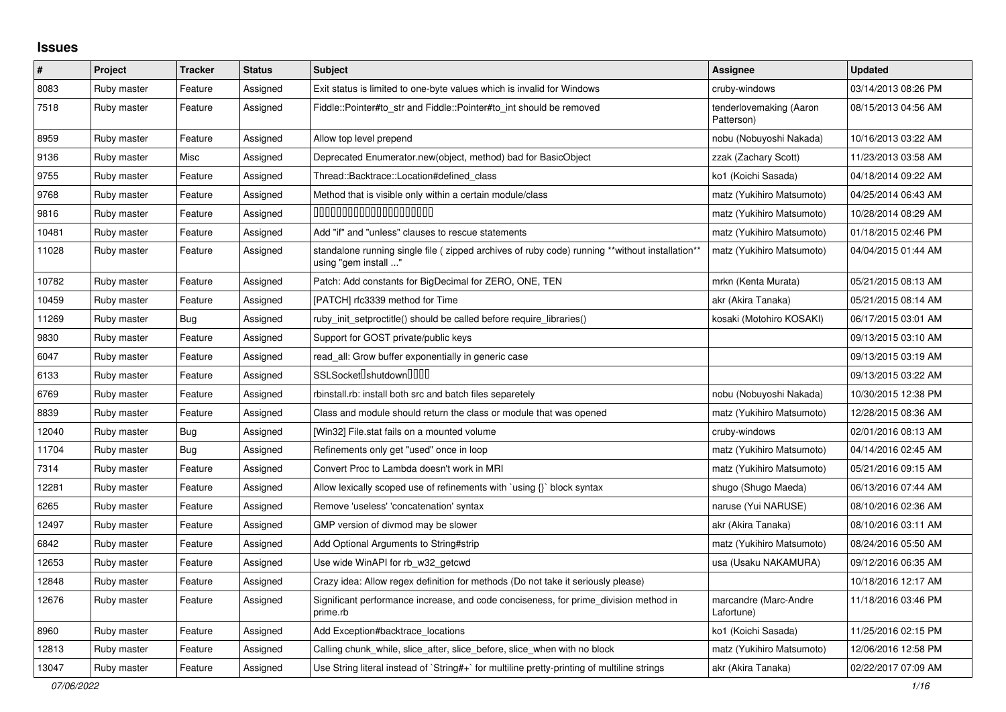## **Issues**

| ∦     | Project     | <b>Tracker</b> | <b>Status</b> | <b>Subject</b>                                                                                                          | Assignee                              | <b>Updated</b>      |
|-------|-------------|----------------|---------------|-------------------------------------------------------------------------------------------------------------------------|---------------------------------------|---------------------|
| 8083  | Ruby master | Feature        | Assigned      | Exit status is limited to one-byte values which is invalid for Windows                                                  | cruby-windows                         | 03/14/2013 08:26 PM |
| 7518  | Ruby master | Feature        | Assigned      | Fiddle::Pointer#to_str and Fiddle::Pointer#to_int should be removed                                                     | tenderlovemaking (Aaron<br>Patterson) | 08/15/2013 04:56 AM |
| 8959  | Ruby master | Feature        | Assigned      | Allow top level prepend                                                                                                 | nobu (Nobuyoshi Nakada)               | 10/16/2013 03:22 AM |
| 9136  | Ruby master | Misc           | Assigned      | Deprecated Enumerator.new(object, method) bad for BasicObject                                                           | zzak (Zachary Scott)                  | 11/23/2013 03:58 AM |
| 9755  | Ruby master | Feature        | Assigned      | Thread::Backtrace::Location#defined class                                                                               | ko1 (Koichi Sasada)                   | 04/18/2014 09:22 AM |
| 9768  | Ruby master | Feature        | Assigned      | Method that is visible only within a certain module/class                                                               | matz (Yukihiro Matsumoto)             | 04/25/2014 06:43 AM |
| 9816  | Ruby master | Feature        | Assigned      | 00000000000000000000                                                                                                    | matz (Yukihiro Matsumoto)             | 10/28/2014 08:29 AM |
| 10481 | Ruby master | Feature        | Assigned      | Add "if" and "unless" clauses to rescue statements                                                                      | matz (Yukihiro Matsumoto)             | 01/18/2015 02:46 PM |
| 11028 | Ruby master | Feature        | Assigned      | standalone running single file ( zipped archives of ruby code) running **without installation**<br>using "gem install " | matz (Yukihiro Matsumoto)             | 04/04/2015 01:44 AM |
| 10782 | Ruby master | Feature        | Assigned      | Patch: Add constants for BigDecimal for ZERO, ONE, TEN                                                                  | mrkn (Kenta Murata)                   | 05/21/2015 08:13 AM |
| 10459 | Ruby master | Feature        | Assigned      | [PATCH] rfc3339 method for Time                                                                                         | akr (Akira Tanaka)                    | 05/21/2015 08:14 AM |
| 11269 | Ruby master | Bug            | Assigned      | ruby init setproctitle() should be called before require libraries()                                                    | kosaki (Motohiro KOSAKI)              | 06/17/2015 03:01 AM |
| 9830  | Ruby master | Feature        | Assigned      | Support for GOST private/public keys                                                                                    |                                       | 09/13/2015 03:10 AM |
| 6047  | Ruby master | Feature        | Assigned      | read_all: Grow buffer exponentially in generic case                                                                     |                                       | 09/13/2015 03:19 AM |
| 6133  | Ruby master | Feature        | Assigned      | SSLSocket <sup>[</sup> shutdown <sup>[11]</sup>                                                                         |                                       | 09/13/2015 03:22 AM |
| 6769  | Ruby master | Feature        | Assigned      | rbinstall.rb: install both src and batch files separetely                                                               | nobu (Nobuyoshi Nakada)               | 10/30/2015 12:38 PM |
| 8839  | Ruby master | Feature        | Assigned      | Class and module should return the class or module that was opened                                                      | matz (Yukihiro Matsumoto)             | 12/28/2015 08:36 AM |
| 12040 | Ruby master | Bug            | Assigned      | [Win32] File.stat fails on a mounted volume                                                                             | cruby-windows                         | 02/01/2016 08:13 AM |
| 11704 | Ruby master | <b>Bug</b>     | Assigned      | Refinements only get "used" once in loop                                                                                | matz (Yukihiro Matsumoto)             | 04/14/2016 02:45 AM |
| 7314  | Ruby master | Feature        | Assigned      | Convert Proc to Lambda doesn't work in MRI                                                                              | matz (Yukihiro Matsumoto)             | 05/21/2016 09:15 AM |
| 12281 | Ruby master | Feature        | Assigned      | Allow lexically scoped use of refinements with `using {}` block syntax                                                  | shugo (Shugo Maeda)                   | 06/13/2016 07:44 AM |
| 6265  | Ruby master | Feature        | Assigned      | Remove 'useless' 'concatenation' syntax                                                                                 | naruse (Yui NARUSE)                   | 08/10/2016 02:36 AM |
| 12497 | Ruby master | Feature        | Assigned      | GMP version of divmod may be slower                                                                                     | akr (Akira Tanaka)                    | 08/10/2016 03:11 AM |
| 6842  | Ruby master | Feature        | Assigned      | Add Optional Arguments to String#strip                                                                                  | matz (Yukihiro Matsumoto)             | 08/24/2016 05:50 AM |
| 12653 | Ruby master | Feature        | Assigned      | Use wide WinAPI for rb_w32_getcwd                                                                                       | usa (Usaku NAKAMURA)                  | 09/12/2016 06:35 AM |
| 12848 | Ruby master | Feature        | Assigned      | Crazy idea: Allow regex definition for methods (Do not take it seriously please)                                        |                                       | 10/18/2016 12:17 AM |
| 12676 | Ruby master | Feature        | Assigned      | Significant performance increase, and code conciseness, for prime_division method in<br>prime.rb                        | marcandre (Marc-Andre<br>Lafortune)   | 11/18/2016 03:46 PM |
| 8960  | Ruby master | Feature        | Assigned      | Add Exception#backtrace_locations                                                                                       | ko1 (Koichi Sasada)                   | 11/25/2016 02:15 PM |
| 12813 | Ruby master | Feature        | Assigned      | Calling chunk_while, slice_after, slice_before, slice_when with no block                                                | matz (Yukihiro Matsumoto)             | 12/06/2016 12:58 PM |
| 13047 | Ruby master | Feature        | Assigned      | Use String literal instead of `String#+` for multiline pretty-printing of multiline strings                             | akr (Akira Tanaka)                    | 02/22/2017 07:09 AM |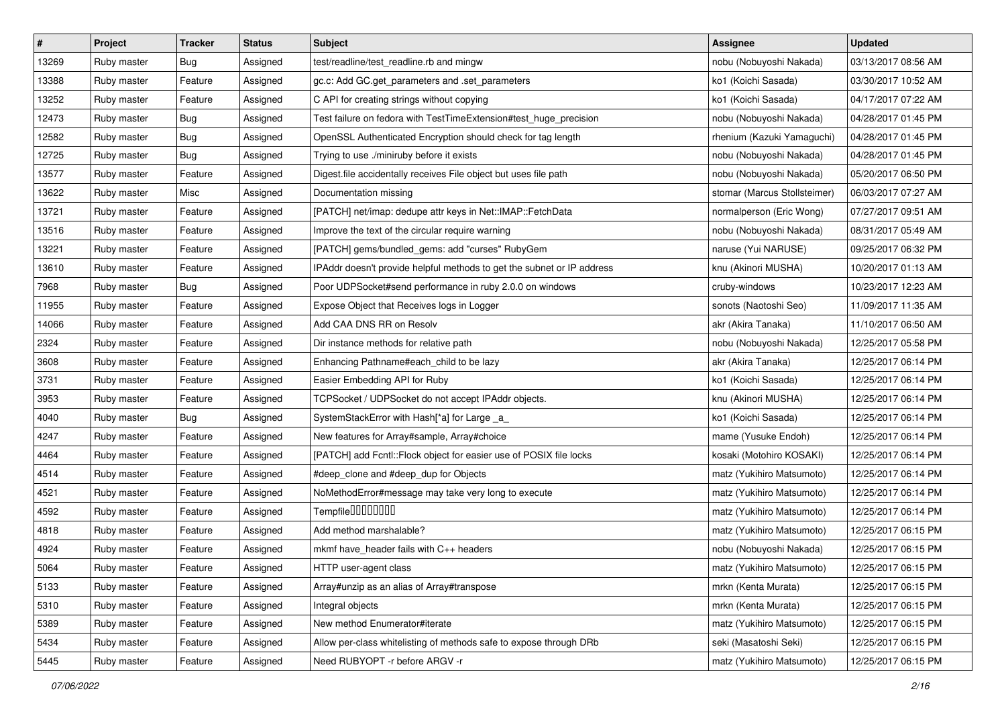| $\vert$ # | Project     | <b>Tracker</b> | <b>Status</b> | <b>Subject</b>                                                         | Assignee                     | <b>Updated</b>      |
|-----------|-------------|----------------|---------------|------------------------------------------------------------------------|------------------------------|---------------------|
| 13269     | Ruby master | Bug            | Assigned      | test/readline/test_readline.rb and mingw                               | nobu (Nobuyoshi Nakada)      | 03/13/2017 08:56 AM |
| 13388     | Ruby master | Feature        | Assigned      | gc.c: Add GC.get_parameters and .set_parameters                        | ko1 (Koichi Sasada)          | 03/30/2017 10:52 AM |
| 13252     | Ruby master | Feature        | Assigned      | C API for creating strings without copying                             | ko1 (Koichi Sasada)          | 04/17/2017 07:22 AM |
| 12473     | Ruby master | Bug            | Assigned      | Test failure on fedora with TestTimeExtension#test_huge_precision      | nobu (Nobuyoshi Nakada)      | 04/28/2017 01:45 PM |
| 12582     | Ruby master | Bug            | Assigned      | OpenSSL Authenticated Encryption should check for tag length           | rhenium (Kazuki Yamaguchi)   | 04/28/2017 01:45 PM |
| 12725     | Ruby master | Bug            | Assigned      | Trying to use ./miniruby before it exists                              | nobu (Nobuyoshi Nakada)      | 04/28/2017 01:45 PM |
| 13577     | Ruby master | Feature        | Assigned      | Digest.file accidentally receives File object but uses file path       | nobu (Nobuyoshi Nakada)      | 05/20/2017 06:50 PM |
| 13622     | Ruby master | Misc           | Assigned      | Documentation missing                                                  | stomar (Marcus Stollsteimer) | 06/03/2017 07:27 AM |
| 13721     | Ruby master | Feature        | Assigned      | [PATCH] net/imap: dedupe attr keys in Net::IMAP::FetchData             | normalperson (Eric Wong)     | 07/27/2017 09:51 AM |
| 13516     | Ruby master | Feature        | Assigned      | Improve the text of the circular require warning                       | nobu (Nobuyoshi Nakada)      | 08/31/2017 05:49 AM |
| 13221     | Ruby master | Feature        | Assigned      | [PATCH] gems/bundled_gems: add "curses" RubyGem                        | naruse (Yui NARUSE)          | 09/25/2017 06:32 PM |
| 13610     | Ruby master | Feature        | Assigned      | IPAddr doesn't provide helpful methods to get the subnet or IP address | knu (Akinori MUSHA)          | 10/20/2017 01:13 AM |
| 7968      | Ruby master | Bug            | Assigned      | Poor UDPSocket#send performance in ruby 2.0.0 on windows               | cruby-windows                | 10/23/2017 12:23 AM |
| 11955     | Ruby master | Feature        | Assigned      | Expose Object that Receives logs in Logger                             | sonots (Naotoshi Seo)        | 11/09/2017 11:35 AM |
| 14066     | Ruby master | Feature        | Assigned      | Add CAA DNS RR on Resolv                                               | akr (Akira Tanaka)           | 11/10/2017 06:50 AM |
| 2324      | Ruby master | Feature        | Assigned      | Dir instance methods for relative path                                 | nobu (Nobuyoshi Nakada)      | 12/25/2017 05:58 PM |
| 3608      | Ruby master | Feature        | Assigned      | Enhancing Pathname#each_child to be lazy                               | akr (Akira Tanaka)           | 12/25/2017 06:14 PM |
| 3731      | Ruby master | Feature        | Assigned      | Easier Embedding API for Ruby                                          | ko1 (Koichi Sasada)          | 12/25/2017 06:14 PM |
| 3953      | Ruby master | Feature        | Assigned      | TCPSocket / UDPSocket do not accept IPAddr objects.                    | knu (Akinori MUSHA)          | 12/25/2017 06:14 PM |
| 4040      | Ruby master | Bug            | Assigned      | SystemStackError with Hash[*a] for Large _a_                           | ko1 (Koichi Sasada)          | 12/25/2017 06:14 PM |
| 4247      | Ruby master | Feature        | Assigned      | New features for Array#sample, Array#choice                            | mame (Yusuke Endoh)          | 12/25/2017 06:14 PM |
| 4464      | Ruby master | Feature        | Assigned      | [PATCH] add Fcntl::Flock object for easier use of POSIX file locks     | kosaki (Motohiro KOSAKI)     | 12/25/2017 06:14 PM |
| 4514      | Ruby master | Feature        | Assigned      | #deep_clone and #deep_dup for Objects                                  | matz (Yukihiro Matsumoto)    | 12/25/2017 06:14 PM |
| 4521      | Ruby master | Feature        | Assigned      | NoMethodError#message may take very long to execute                    | matz (Yukihiro Matsumoto)    | 12/25/2017 06:14 PM |
| 4592      | Ruby master | Feature        | Assigned      | Tempfile0000000                                                        | matz (Yukihiro Matsumoto)    | 12/25/2017 06:14 PM |
| 4818      | Ruby master | Feature        | Assigned      | Add method marshalable?                                                | matz (Yukihiro Matsumoto)    | 12/25/2017 06:15 PM |
| 4924      | Ruby master | Feature        | Assigned      | mkmf have_header fails with C++ headers                                | nobu (Nobuyoshi Nakada)      | 12/25/2017 06:15 PM |
| 5064      | Ruby master | Feature        | Assigned      | HTTP user-agent class                                                  | matz (Yukihiro Matsumoto)    | 12/25/2017 06:15 PM |
| 5133      | Ruby master | Feature        | Assigned      | Array#unzip as an alias of Array#transpose                             | mrkn (Kenta Murata)          | 12/25/2017 06:15 PM |
| 5310      | Ruby master | Feature        | Assigned      | Integral objects                                                       | mrkn (Kenta Murata)          | 12/25/2017 06:15 PM |
| 5389      | Ruby master | Feature        | Assigned      | New method Enumerator#iterate                                          | matz (Yukihiro Matsumoto)    | 12/25/2017 06:15 PM |
| 5434      | Ruby master | Feature        | Assigned      | Allow per-class whitelisting of methods safe to expose through DRb     | seki (Masatoshi Seki)        | 12/25/2017 06:15 PM |
| 5445      | Ruby master | Feature        | Assigned      | Need RUBYOPT - r before ARGV - r                                       | matz (Yukihiro Matsumoto)    | 12/25/2017 06:15 PM |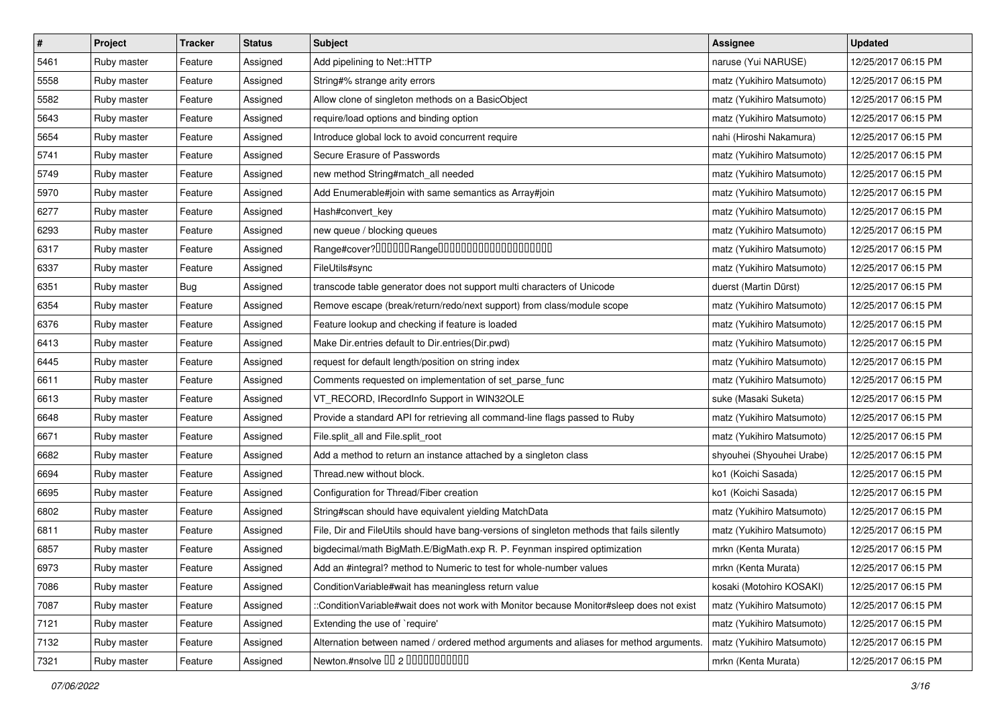| $\vert$ # | Project     | <b>Tracker</b> | <b>Status</b> | <b>Subject</b>                                                                             | Assignee                  | <b>Updated</b>      |
|-----------|-------------|----------------|---------------|--------------------------------------------------------------------------------------------|---------------------------|---------------------|
| 5461      | Ruby master | Feature        | Assigned      | Add pipelining to Net::HTTP                                                                | naruse (Yui NARUSE)       | 12/25/2017 06:15 PM |
| 5558      | Ruby master | Feature        | Assigned      | String#% strange arity errors                                                              | matz (Yukihiro Matsumoto) | 12/25/2017 06:15 PM |
| 5582      | Ruby master | Feature        | Assigned      | Allow clone of singleton methods on a BasicObject                                          | matz (Yukihiro Matsumoto) | 12/25/2017 06:15 PM |
| 5643      | Ruby master | Feature        | Assigned      | require/load options and binding option                                                    | matz (Yukihiro Matsumoto) | 12/25/2017 06:15 PM |
| 5654      | Ruby master | Feature        | Assigned      | Introduce global lock to avoid concurrent require                                          | nahi (Hiroshi Nakamura)   | 12/25/2017 06:15 PM |
| 5741      | Ruby master | Feature        | Assigned      | Secure Erasure of Passwords                                                                | matz (Yukihiro Matsumoto) | 12/25/2017 06:15 PM |
| 5749      | Ruby master | Feature        | Assigned      | new method String#match_all needed                                                         | matz (Yukihiro Matsumoto) | 12/25/2017 06:15 PM |
| 5970      | Ruby master | Feature        | Assigned      | Add Enumerable#join with same semantics as Array#join                                      | matz (Yukihiro Matsumoto) | 12/25/2017 06:15 PM |
| 6277      | Ruby master | Feature        | Assigned      | Hash#convert_key                                                                           | matz (Yukihiro Matsumoto) | 12/25/2017 06:15 PM |
| 6293      | Ruby master | Feature        | Assigned      | new queue / blocking queues                                                                | matz (Yukihiro Matsumoto) | 12/25/2017 06:15 PM |
| 6317      | Ruby master | Feature        | Assigned      |                                                                                            | matz (Yukihiro Matsumoto) | 12/25/2017 06:15 PM |
| 6337      | Ruby master | Feature        | Assigned      | FileUtils#sync                                                                             | matz (Yukihiro Matsumoto) | 12/25/2017 06:15 PM |
| 6351      | Ruby master | <b>Bug</b>     | Assigned      | transcode table generator does not support multi characters of Unicode                     | duerst (Martin Dürst)     | 12/25/2017 06:15 PM |
| 6354      | Ruby master | Feature        | Assigned      | Remove escape (break/return/redo/next support) from class/module scope                     | matz (Yukihiro Matsumoto) | 12/25/2017 06:15 PM |
| 6376      | Ruby master | Feature        | Assigned      | Feature lookup and checking if feature is loaded                                           | matz (Yukihiro Matsumoto) | 12/25/2017 06:15 PM |
| 6413      | Ruby master | Feature        | Assigned      | Make Dir.entries default to Dir.entries(Dir.pwd)                                           | matz (Yukihiro Matsumoto) | 12/25/2017 06:15 PM |
| 6445      | Ruby master | Feature        | Assigned      | request for default length/position on string index                                        | matz (Yukihiro Matsumoto) | 12/25/2017 06:15 PM |
| 6611      | Ruby master | Feature        | Assigned      | Comments requested on implementation of set_parse_func                                     | matz (Yukihiro Matsumoto) | 12/25/2017 06:15 PM |
| 6613      | Ruby master | Feature        | Assigned      | VT_RECORD, IRecordInfo Support in WIN32OLE                                                 | suke (Masaki Suketa)      | 12/25/2017 06:15 PM |
| 6648      | Ruby master | Feature        | Assigned      | Provide a standard API for retrieving all command-line flags passed to Ruby                | matz (Yukihiro Matsumoto) | 12/25/2017 06:15 PM |
| 6671      | Ruby master | Feature        | Assigned      | File.split_all and File.split_root                                                         | matz (Yukihiro Matsumoto) | 12/25/2017 06:15 PM |
| 6682      | Ruby master | Feature        | Assigned      | Add a method to return an instance attached by a singleton class                           | shyouhei (Shyouhei Urabe) | 12/25/2017 06:15 PM |
| 6694      | Ruby master | Feature        | Assigned      | Thread.new without block.                                                                  | ko1 (Koichi Sasada)       | 12/25/2017 06:15 PM |
| 6695      | Ruby master | Feature        | Assigned      | Configuration for Thread/Fiber creation                                                    | ko1 (Koichi Sasada)       | 12/25/2017 06:15 PM |
| 6802      | Ruby master | Feature        | Assigned      | String#scan should have equivalent yielding MatchData                                      | matz (Yukihiro Matsumoto) | 12/25/2017 06:15 PM |
| 6811      | Ruby master | Feature        | Assigned      | File, Dir and FileUtils should have bang-versions of singleton methods that fails silently | matz (Yukihiro Matsumoto) | 12/25/2017 06:15 PM |
| 6857      | Ruby master | Feature        | Assigned      | bigdecimal/math BigMath.E/BigMath.exp R. P. Feynman inspired optimization                  | mrkn (Kenta Murata)       | 12/25/2017 06:15 PM |
| 6973      | Ruby master | Feature        | Assigned      | Add an #integral? method to Numeric to test for whole-number values                        | mrkn (Kenta Murata)       | 12/25/2017 06:15 PM |
| 7086      | Ruby master | Feature        | Assigned      | Condition Variable#wait has meaningless return value                                       | kosaki (Motohiro KOSAKI)  | 12/25/2017 06:15 PM |
| 7087      | Ruby master | Feature        | Assigned      | ::ConditionVariable#wait does not work with Monitor because Monitor#sleep does not exist   | matz (Yukihiro Matsumoto) | 12/25/2017 06:15 PM |
| 7121      | Ruby master | Feature        | Assigned      | Extending the use of `require'                                                             | matz (Yukihiro Matsumoto) | 12/25/2017 06:15 PM |
| 7132      | Ruby master | Feature        | Assigned      | Alternation between named / ordered method arguments and aliases for method arguments.     | matz (Yukihiro Matsumoto) | 12/25/2017 06:15 PM |
| 7321      | Ruby master | Feature        | Assigned      | Newton.#nsolve 00 2 0000000000                                                             | mrkn (Kenta Murata)       | 12/25/2017 06:15 PM |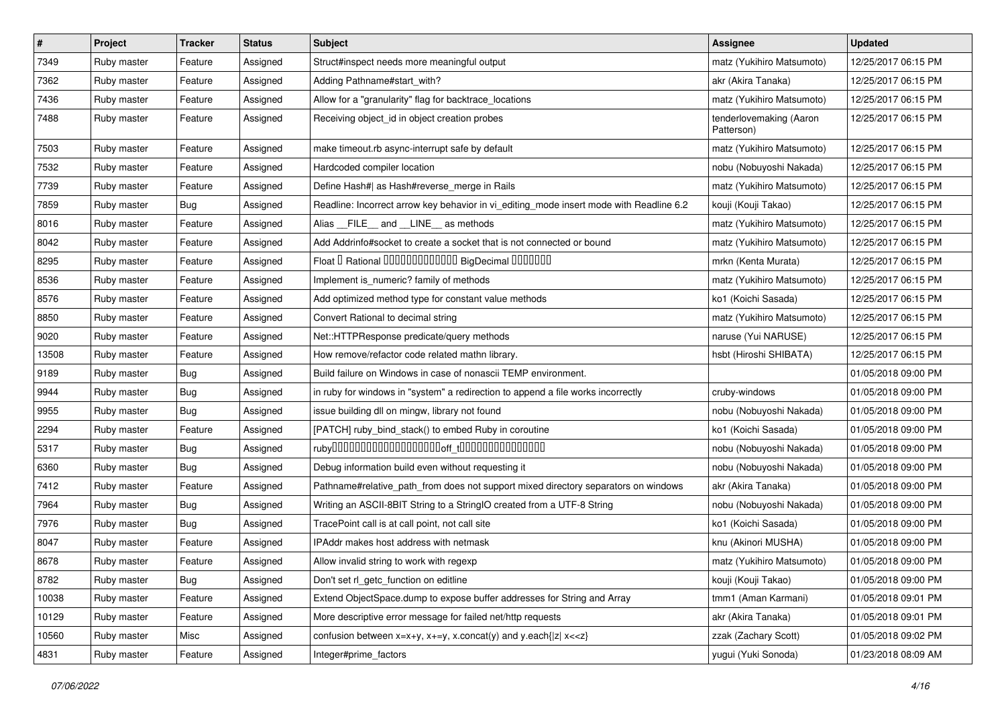| #     | Project     | <b>Tracker</b> | <b>Status</b> | <b>Subject</b>                                                                          | <b>Assignee</b>                       | <b>Updated</b>      |
|-------|-------------|----------------|---------------|-----------------------------------------------------------------------------------------|---------------------------------------|---------------------|
| 7349  | Ruby master | Feature        | Assigned      | Struct#inspect needs more meaningful output                                             | matz (Yukihiro Matsumoto)             | 12/25/2017 06:15 PM |
| 7362  | Ruby master | Feature        | Assigned      | Adding Pathname#start_with?                                                             | akr (Akira Tanaka)                    | 12/25/2017 06:15 PM |
| 7436  | Ruby master | Feature        | Assigned      | Allow for a "granularity" flag for backtrace_locations                                  | matz (Yukihiro Matsumoto)             | 12/25/2017 06:15 PM |
| 7488  | Ruby master | Feature        | Assigned      | Receiving object_id in object creation probes                                           | tenderlovemaking (Aaron<br>Patterson) | 12/25/2017 06:15 PM |
| 7503  | Ruby master | Feature        | Assigned      | make timeout.rb async-interrupt safe by default                                         | matz (Yukihiro Matsumoto)             | 12/25/2017 06:15 PM |
| 7532  | Ruby master | Feature        | Assigned      | Hardcoded compiler location                                                             | nobu (Nobuyoshi Nakada)               | 12/25/2017 06:15 PM |
| 7739  | Ruby master | Feature        | Assigned      | Define Hash#  as Hash#reverse_merge in Rails                                            | matz (Yukihiro Matsumoto)             | 12/25/2017 06:15 PM |
| 7859  | Ruby master | <b>Bug</b>     | Assigned      | Readline: Incorrect arrow key behavior in vi_editing_mode insert mode with Readline 6.2 | kouji (Kouji Takao)                   | 12/25/2017 06:15 PM |
| 8016  | Ruby master | Feature        | Assigned      | Alias FILE and LINE as methods                                                          | matz (Yukihiro Matsumoto)             | 12/25/2017 06:15 PM |
| 8042  | Ruby master | Feature        | Assigned      | Add Addrinfo#socket to create a socket that is not connected or bound                   | matz (Yukihiro Matsumoto)             | 12/25/2017 06:15 PM |
| 8295  | Ruby master | Feature        | Assigned      | Float I Rational 0000000000000 BigDecimal 0000000                                       | mrkn (Kenta Murata)                   | 12/25/2017 06:15 PM |
| 8536  | Ruby master | Feature        | Assigned      | Implement is_numeric? family of methods                                                 | matz (Yukihiro Matsumoto)             | 12/25/2017 06:15 PM |
| 8576  | Ruby master | Feature        | Assigned      | Add optimized method type for constant value methods                                    | ko1 (Koichi Sasada)                   | 12/25/2017 06:15 PM |
| 8850  | Ruby master | Feature        | Assigned      | Convert Rational to decimal string                                                      | matz (Yukihiro Matsumoto)             | 12/25/2017 06:15 PM |
| 9020  | Ruby master | Feature        | Assigned      | Net::HTTPResponse predicate/query methods                                               | naruse (Yui NARUSE)                   | 12/25/2017 06:15 PM |
| 13508 | Ruby master | Feature        | Assigned      | How remove/refactor code related mathn library.                                         | hsbt (Hiroshi SHIBATA)                | 12/25/2017 06:15 PM |
| 9189  | Ruby master | <b>Bug</b>     | Assigned      | Build failure on Windows in case of nonascii TEMP environment.                          |                                       | 01/05/2018 09:00 PM |
| 9944  | Ruby master | <b>Bug</b>     | Assigned      | in ruby for windows in "system" a redirection to append a file works incorrectly        | cruby-windows                         | 01/05/2018 09:00 PM |
| 9955  | Ruby master | Bug            | Assigned      | issue building dll on mingw, library not found                                          | nobu (Nobuyoshi Nakada)               | 01/05/2018 09:00 PM |
| 2294  | Ruby master | Feature        | Assigned      | [PATCH] ruby_bind_stack() to embed Ruby in coroutine                                    | ko1 (Koichi Sasada)                   | 01/05/2018 09:00 PM |
| 5317  | Ruby master | <b>Bug</b>     | Assigned      |                                                                                         | nobu (Nobuyoshi Nakada)               | 01/05/2018 09:00 PM |
| 6360  | Ruby master | <b>Bug</b>     | Assigned      | Debug information build even without requesting it                                      | nobu (Nobuyoshi Nakada)               | 01/05/2018 09:00 PM |
| 7412  | Ruby master | Feature        | Assigned      | Pathname#relative_path_from does not support mixed directory separators on windows      | akr (Akira Tanaka)                    | 01/05/2018 09:00 PM |
| 7964  | Ruby master | Bug            | Assigned      | Writing an ASCII-8BIT String to a StringIO created from a UTF-8 String                  | nobu (Nobuyoshi Nakada)               | 01/05/2018 09:00 PM |
| 7976  | Ruby master | <b>Bug</b>     | Assigned      | TracePoint call is at call point, not call site                                         | ko1 (Koichi Sasada)                   | 01/05/2018 09:00 PM |
| 8047  | Ruby master | Feature        | Assigned      | IPAddr makes host address with netmask                                                  | knu (Akinori MUSHA)                   | 01/05/2018 09:00 PM |
| 8678  | Ruby master | Feature        | Assigned      | Allow invalid string to work with regexp                                                | matz (Yukihiro Matsumoto)             | 01/05/2018 09:00 PM |
| 8782  | Ruby master | <b>Bug</b>     | Assigned      | Don't set rl_getc_function on editline                                                  | kouji (Kouji Takao)                   | 01/05/2018 09:00 PM |
| 10038 | Ruby master | Feature        | Assigned      | Extend ObjectSpace.dump to expose buffer addresses for String and Array                 | tmm1 (Aman Karmani)                   | 01/05/2018 09:01 PM |
| 10129 | Ruby master | Feature        | Assigned      | More descriptive error message for failed net/http requests                             | akr (Akira Tanaka)                    | 01/05/2018 09:01 PM |
| 10560 | Ruby master | Misc           | Assigned      | confusion between $x=x+y$ , $x+=y$ , x.concat(y) and y.each{ z  $x<}$                   | zzak (Zachary Scott)                  | 01/05/2018 09:02 PM |
| 4831  | Ruby master | Feature        | Assigned      | Integer#prime_factors                                                                   | yugui (Yuki Sonoda)                   | 01/23/2018 08:09 AM |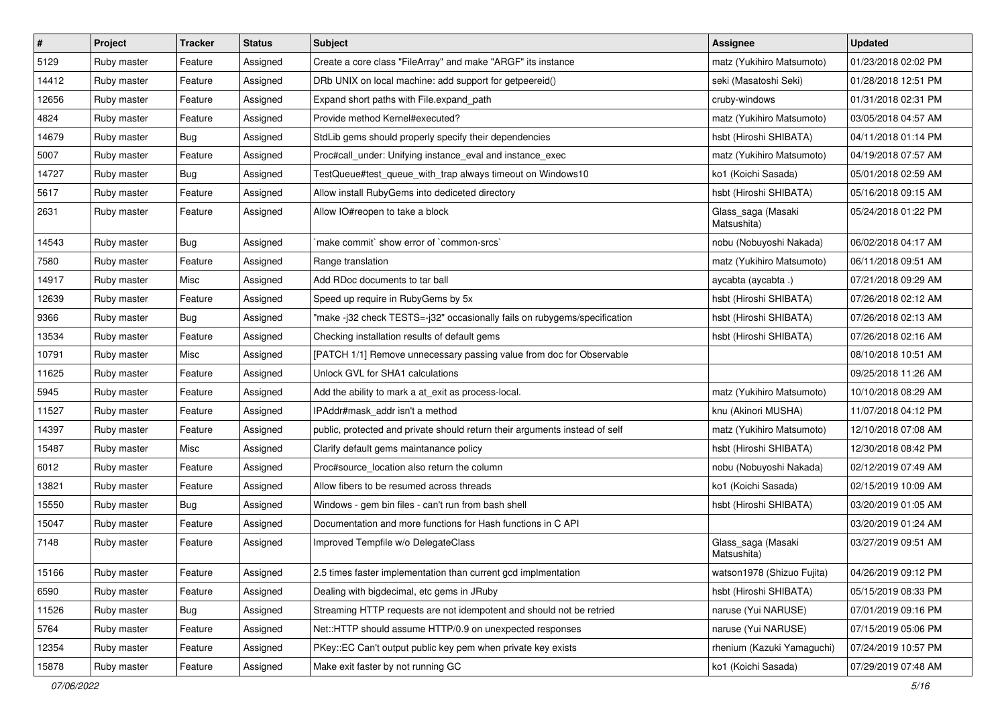| $\vert$ # | Project     | <b>Tracker</b> | <b>Status</b> | Subject                                                                     | Assignee                          | <b>Updated</b>      |
|-----------|-------------|----------------|---------------|-----------------------------------------------------------------------------|-----------------------------------|---------------------|
| 5129      | Ruby master | Feature        | Assigned      | Create a core class "FileArray" and make "ARGF" its instance                | matz (Yukihiro Matsumoto)         | 01/23/2018 02:02 PM |
| 14412     | Ruby master | Feature        | Assigned      | DRb UNIX on local machine: add support for getpeereid()                     | seki (Masatoshi Seki)             | 01/28/2018 12:51 PM |
| 12656     | Ruby master | Feature        | Assigned      | Expand short paths with File.expand path                                    | cruby-windows                     | 01/31/2018 02:31 PM |
| 4824      | Ruby master | Feature        | Assigned      | Provide method Kernel#executed?                                             | matz (Yukihiro Matsumoto)         | 03/05/2018 04:57 AM |
| 14679     | Ruby master | Bug            | Assigned      | StdLib gems should properly specify their dependencies                      | hsbt (Hiroshi SHIBATA)            | 04/11/2018 01:14 PM |
| 5007      | Ruby master | Feature        | Assigned      | Proc#call_under: Unifying instance_eval and instance_exec                   | matz (Yukihiro Matsumoto)         | 04/19/2018 07:57 AM |
| 14727     | Ruby master | Bug            | Assigned      | TestQueue#test_queue_with_trap always timeout on Windows10                  | ko1 (Koichi Sasada)               | 05/01/2018 02:59 AM |
| 5617      | Ruby master | Feature        | Assigned      | Allow install RubyGems into dediceted directory                             | hsbt (Hiroshi SHIBATA)            | 05/16/2018 09:15 AM |
| 2631      | Ruby master | Feature        | Assigned      | Allow IO#reopen to take a block                                             | Glass_saga (Masaki<br>Matsushita) | 05/24/2018 01:22 PM |
| 14543     | Ruby master | Bug            | Assigned      | `make commit` show error of `common-srcs`                                   | nobu (Nobuyoshi Nakada)           | 06/02/2018 04:17 AM |
| 7580      | Ruby master | Feature        | Assigned      | Range translation                                                           | matz (Yukihiro Matsumoto)         | 06/11/2018 09:51 AM |
| 14917     | Ruby master | Misc           | Assigned      | Add RDoc documents to tar ball                                              | aycabta (aycabta.)                | 07/21/2018 09:29 AM |
| 12639     | Ruby master | Feature        | Assigned      | Speed up require in RubyGems by 5x                                          | hsbt (Hiroshi SHIBATA)            | 07/26/2018 02:12 AM |
| 9366      | Ruby master | Bug            | Assigned      | "make -j32 check TESTS=-j32" occasionally fails on rubygems/specification   | hsbt (Hiroshi SHIBATA)            | 07/26/2018 02:13 AM |
| 13534     | Ruby master | Feature        | Assigned      | Checking installation results of default gems                               | hsbt (Hiroshi SHIBATA)            | 07/26/2018 02:16 AM |
| 10791     | Ruby master | Misc           | Assigned      | [PATCH 1/1] Remove unnecessary passing value from doc for Observable        |                                   | 08/10/2018 10:51 AM |
| 11625     | Ruby master | Feature        | Assigned      | Unlock GVL for SHA1 calculations                                            |                                   | 09/25/2018 11:26 AM |
| 5945      | Ruby master | Feature        | Assigned      | Add the ability to mark a at exit as process-local.                         | matz (Yukihiro Matsumoto)         | 10/10/2018 08:29 AM |
| 11527     | Ruby master | Feature        | Assigned      | IPAddr#mask addr isn't a method                                             | knu (Akinori MUSHA)               | 11/07/2018 04:12 PM |
| 14397     | Ruby master | Feature        | Assigned      | public, protected and private should return their arguments instead of self | matz (Yukihiro Matsumoto)         | 12/10/2018 07:08 AM |
| 15487     | Ruby master | Misc           | Assigned      | Clarify default gems maintanance policy                                     | hsbt (Hiroshi SHIBATA)            | 12/30/2018 08:42 PM |
| 6012      | Ruby master | Feature        | Assigned      | Proc#source_location also return the column                                 | nobu (Nobuyoshi Nakada)           | 02/12/2019 07:49 AM |
| 13821     | Ruby master | Feature        | Assigned      | Allow fibers to be resumed across threads                                   | ko1 (Koichi Sasada)               | 02/15/2019 10:09 AM |
| 15550     | Ruby master | <b>Bug</b>     | Assigned      | Windows - gem bin files - can't run from bash shell                         | hsbt (Hiroshi SHIBATA)            | 03/20/2019 01:05 AM |
| 15047     | Ruby master | Feature        | Assigned      | Documentation and more functions for Hash functions in C API                |                                   | 03/20/2019 01:24 AM |
| 7148      | Ruby master | Feature        | Assigned      | Improved Tempfile w/o DelegateClass                                         | Glass_saga (Masaki<br>Matsushita) | 03/27/2019 09:51 AM |
| 15166     | Ruby master | Feature        | Assigned      | 2.5 times faster implementation than current gcd implmentation              | watson1978 (Shizuo Fujita)        | 04/26/2019 09:12 PM |
| 6590      | Ruby master | Feature        | Assigned      | Dealing with bigdecimal, etc gems in JRuby                                  | hsbt (Hiroshi SHIBATA)            | 05/15/2019 08:33 PM |
| 11526     | Ruby master | <b>Bug</b>     | Assigned      | Streaming HTTP requests are not idempotent and should not be retried        | naruse (Yui NARUSE)               | 07/01/2019 09:16 PM |
| 5764      | Ruby master | Feature        | Assigned      | Net::HTTP should assume HTTP/0.9 on unexpected responses                    | naruse (Yui NARUSE)               | 07/15/2019 05:06 PM |
| 12354     | Ruby master | Feature        | Assigned      | PKey::EC Can't output public key pem when private key exists                | rhenium (Kazuki Yamaguchi)        | 07/24/2019 10:57 PM |
| 15878     | Ruby master | Feature        | Assigned      | Make exit faster by not running GC                                          | ko1 (Koichi Sasada)               | 07/29/2019 07:48 AM |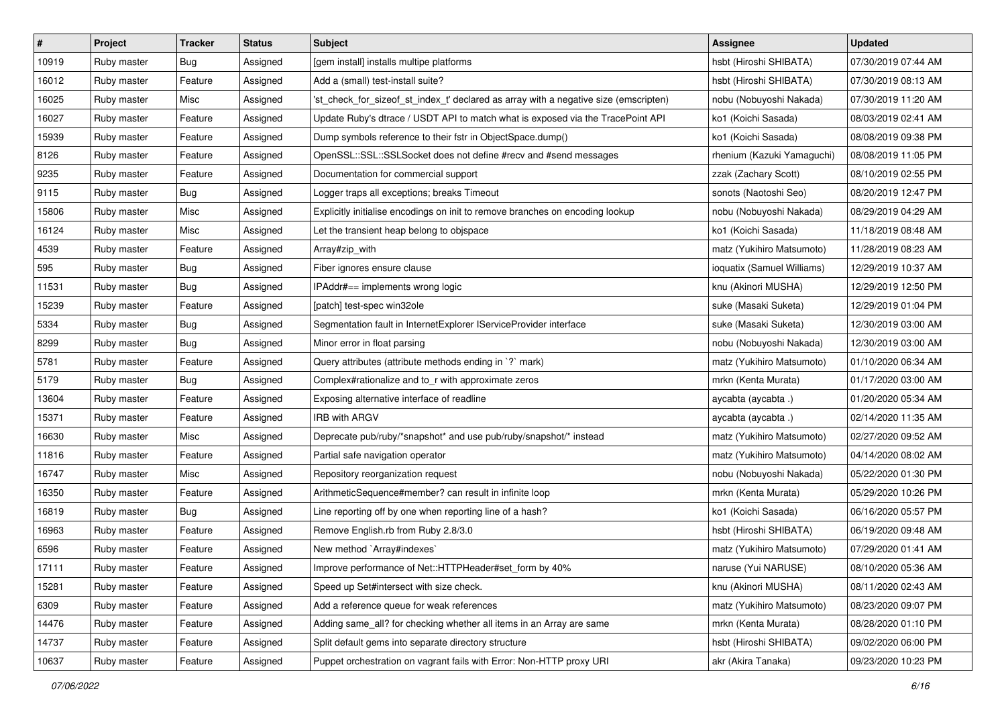| $\vert$ # | Project     | <b>Tracker</b> | <b>Status</b> | Subject                                                                              | Assignee                   | <b>Updated</b>      |
|-----------|-------------|----------------|---------------|--------------------------------------------------------------------------------------|----------------------------|---------------------|
| 10919     | Ruby master | Bug            | Assigned      | [gem install] installs multipe platforms                                             | hsbt (Hiroshi SHIBATA)     | 07/30/2019 07:44 AM |
| 16012     | Ruby master | Feature        | Assigned      | Add a (small) test-install suite?                                                    | hsbt (Hiroshi SHIBATA)     | 07/30/2019 08:13 AM |
| 16025     | Ruby master | Misc           | Assigned      | 'st_check_for_sizeof_st_index_t' declared as array with a negative size (emscripten) | nobu (Nobuyoshi Nakada)    | 07/30/2019 11:20 AM |
| 16027     | Ruby master | Feature        | Assigned      | Update Ruby's dtrace / USDT API to match what is exposed via the TracePoint API      | ko1 (Koichi Sasada)        | 08/03/2019 02:41 AM |
| 15939     | Ruby master | Feature        | Assigned      | Dump symbols reference to their fstr in ObjectSpace.dump()                           | ko1 (Koichi Sasada)        | 08/08/2019 09:38 PM |
| 8126      | Ruby master | Feature        | Assigned      | OpenSSL::SSL::SSLSocket does not define #recv and #send messages                     | rhenium (Kazuki Yamaguchi) | 08/08/2019 11:05 PM |
| 9235      | Ruby master | Feature        | Assigned      | Documentation for commercial support                                                 | zzak (Zachary Scott)       | 08/10/2019 02:55 PM |
| 9115      | Ruby master | <b>Bug</b>     | Assigned      | Logger traps all exceptions; breaks Timeout                                          | sonots (Naotoshi Seo)      | 08/20/2019 12:47 PM |
| 15806     | Ruby master | Misc           | Assigned      | Explicitly initialise encodings on init to remove branches on encoding lookup        | nobu (Nobuyoshi Nakada)    | 08/29/2019 04:29 AM |
| 16124     | Ruby master | Misc           | Assigned      | Let the transient heap belong to objspace                                            | ko1 (Koichi Sasada)        | 11/18/2019 08:48 AM |
| 4539      | Ruby master | Feature        | Assigned      | Array#zip_with                                                                       | matz (Yukihiro Matsumoto)  | 11/28/2019 08:23 AM |
| 595       | Ruby master | Bug            | Assigned      | Fiber ignores ensure clause                                                          | ioquatix (Samuel Williams) | 12/29/2019 10:37 AM |
| 11531     | Ruby master | Bug            | Assigned      | IPAddr#== implements wrong logic                                                     | knu (Akinori MUSHA)        | 12/29/2019 12:50 PM |
| 15239     | Ruby master | Feature        | Assigned      | [patch] test-spec win32ole                                                           | suke (Masaki Suketa)       | 12/29/2019 01:04 PM |
| 5334      | Ruby master | Bug            | Assigned      | Segmentation fault in InternetExplorer IServiceProvider interface                    | suke (Masaki Suketa)       | 12/30/2019 03:00 AM |
| 8299      | Ruby master | Bug            | Assigned      | Minor error in float parsing                                                         | nobu (Nobuyoshi Nakada)    | 12/30/2019 03:00 AM |
| 5781      | Ruby master | Feature        | Assigned      | Query attributes (attribute methods ending in `?` mark)                              | matz (Yukihiro Matsumoto)  | 01/10/2020 06:34 AM |
| 5179      | Ruby master | Bug            | Assigned      | Complex#rationalize and to_r with approximate zeros                                  | mrkn (Kenta Murata)        | 01/17/2020 03:00 AM |
| 13604     | Ruby master | Feature        | Assigned      | Exposing alternative interface of readline                                           | aycabta (aycabta .)        | 01/20/2020 05:34 AM |
| 15371     | Ruby master | Feature        | Assigned      | <b>IRB with ARGV</b>                                                                 | aycabta (aycabta .)        | 02/14/2020 11:35 AM |
| 16630     | Ruby master | Misc           | Assigned      | Deprecate pub/ruby/*snapshot* and use pub/ruby/snapshot/* instead                    | matz (Yukihiro Matsumoto)  | 02/27/2020 09:52 AM |
| 11816     | Ruby master | Feature        | Assigned      | Partial safe navigation operator                                                     | matz (Yukihiro Matsumoto)  | 04/14/2020 08:02 AM |
| 16747     | Ruby master | Misc           | Assigned      | Repository reorganization request                                                    | nobu (Nobuyoshi Nakada)    | 05/22/2020 01:30 PM |
| 16350     | Ruby master | Feature        | Assigned      | ArithmeticSequence#member? can result in infinite loop                               | mrkn (Kenta Murata)        | 05/29/2020 10:26 PM |
| 16819     | Ruby master | Bug            | Assigned      | Line reporting off by one when reporting line of a hash?                             | ko1 (Koichi Sasada)        | 06/16/2020 05:57 PM |
| 16963     | Ruby master | Feature        | Assigned      | Remove English.rb from Ruby 2.8/3.0                                                  | hsbt (Hiroshi SHIBATA)     | 06/19/2020 09:48 AM |
| 6596      | Ruby master | Feature        | Assigned      | New method `Array#indexes`                                                           | matz (Yukihiro Matsumoto)  | 07/29/2020 01:41 AM |
| 17111     | Ruby master | Feature        | Assigned      | Improve performance of Net::HTTPHeader#set_form by 40%                               | naruse (Yui NARUSE)        | 08/10/2020 05:36 AM |
| 15281     | Ruby master | Feature        | Assigned      | Speed up Set#intersect with size check.                                              | knu (Akinori MUSHA)        | 08/11/2020 02:43 AM |
| 6309      | Ruby master | Feature        | Assigned      | Add a reference queue for weak references                                            | matz (Yukihiro Matsumoto)  | 08/23/2020 09:07 PM |
| 14476     | Ruby master | Feature        | Assigned      | Adding same_all? for checking whether all items in an Array are same                 | mrkn (Kenta Murata)        | 08/28/2020 01:10 PM |
| 14737     | Ruby master | Feature        | Assigned      | Split default gems into separate directory structure                                 | hsbt (Hiroshi SHIBATA)     | 09/02/2020 06:00 PM |
| 10637     | Ruby master | Feature        | Assigned      | Puppet orchestration on vagrant fails with Error: Non-HTTP proxy URI                 | akr (Akira Tanaka)         | 09/23/2020 10:23 PM |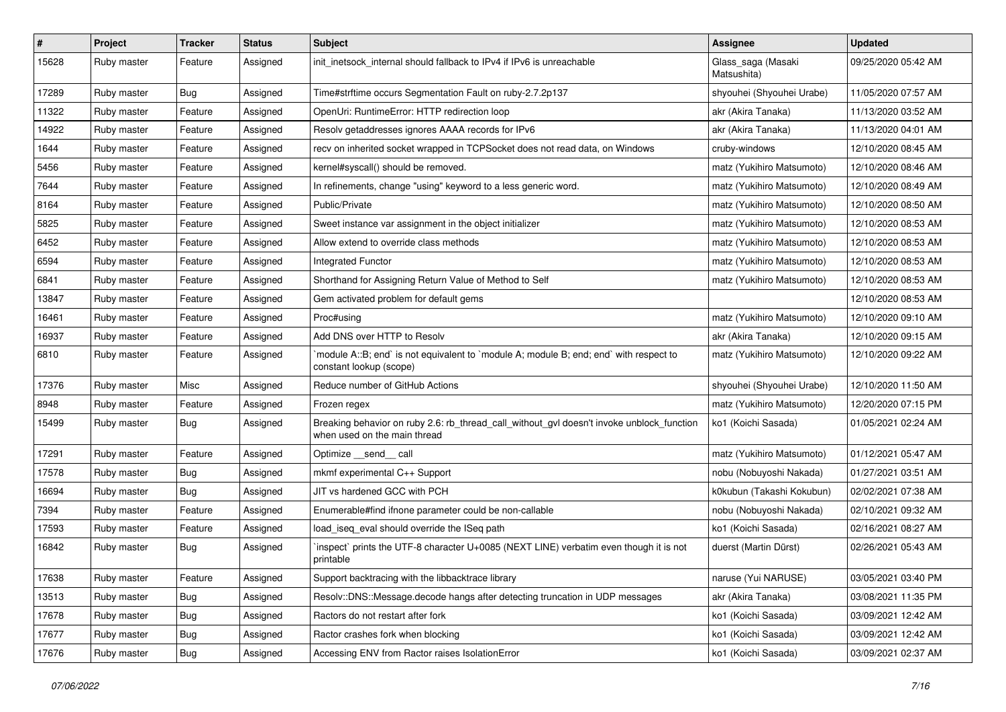| $\vert$ # | Project     | <b>Tracker</b> | <b>Status</b> | Subject                                                                                                                   | Assignee                          | <b>Updated</b>      |
|-----------|-------------|----------------|---------------|---------------------------------------------------------------------------------------------------------------------------|-----------------------------------|---------------------|
| 15628     | Ruby master | Feature        | Assigned      | init_inetsock_internal should fallback to IPv4 if IPv6 is unreachable                                                     | Glass_saga (Masaki<br>Matsushita) | 09/25/2020 05:42 AM |
| 17289     | Ruby master | Bug            | Assigned      | Time#strftime occurs Segmentation Fault on ruby-2.7.2p137                                                                 | shyouhei (Shyouhei Urabe)         | 11/05/2020 07:57 AM |
| 11322     | Ruby master | Feature        | Assigned      | OpenUri: RuntimeError: HTTP redirection loop                                                                              | akr (Akira Tanaka)                | 11/13/2020 03:52 AM |
| 14922     | Ruby master | Feature        | Assigned      | Resolv getaddresses ignores AAAA records for IPv6                                                                         | akr (Akira Tanaka)                | 11/13/2020 04:01 AM |
| 1644      | Ruby master | Feature        | Assigned      | recv on inherited socket wrapped in TCPSocket does not read data, on Windows                                              | cruby-windows                     | 12/10/2020 08:45 AM |
| 5456      | Ruby master | Feature        | Assigned      | kernel#syscall() should be removed.                                                                                       | matz (Yukihiro Matsumoto)         | 12/10/2020 08:46 AM |
| 7644      | Ruby master | Feature        | Assigned      | In refinements, change "using" keyword to a less generic word.                                                            | matz (Yukihiro Matsumoto)         | 12/10/2020 08:49 AM |
| 8164      | Ruby master | Feature        | Assigned      | Public/Private                                                                                                            | matz (Yukihiro Matsumoto)         | 12/10/2020 08:50 AM |
| 5825      | Ruby master | Feature        | Assigned      | Sweet instance var assignment in the object initializer                                                                   | matz (Yukihiro Matsumoto)         | 12/10/2020 08:53 AM |
| 6452      | Ruby master | Feature        | Assigned      | Allow extend to override class methods                                                                                    | matz (Yukihiro Matsumoto)         | 12/10/2020 08:53 AM |
| 6594      | Ruby master | Feature        | Assigned      | Integrated Functor                                                                                                        | matz (Yukihiro Matsumoto)         | 12/10/2020 08:53 AM |
| 6841      | Ruby master | Feature        | Assigned      | Shorthand for Assigning Return Value of Method to Self                                                                    | matz (Yukihiro Matsumoto)         | 12/10/2020 08:53 AM |
| 13847     | Ruby master | Feature        | Assigned      | Gem activated problem for default gems                                                                                    |                                   | 12/10/2020 08:53 AM |
| 16461     | Ruby master | Feature        | Assigned      | Proc#using                                                                                                                | matz (Yukihiro Matsumoto)         | 12/10/2020 09:10 AM |
| 16937     | Ruby master | Feature        | Assigned      | Add DNS over HTTP to Resolv                                                                                               | akr (Akira Tanaka)                | 12/10/2020 09:15 AM |
| 6810      | Ruby master | Feature        | Assigned      | `module A::B; end` is not equivalent to `module A; module B; end; end` with respect to<br>constant lookup (scope)         | matz (Yukihiro Matsumoto)         | 12/10/2020 09:22 AM |
| 17376     | Ruby master | Misc           | Assigned      | Reduce number of GitHub Actions                                                                                           | shyouhei (Shyouhei Urabe)         | 12/10/2020 11:50 AM |
| 8948      | Ruby master | Feature        | Assigned      | Frozen regex                                                                                                              | matz (Yukihiro Matsumoto)         | 12/20/2020 07:15 PM |
| 15499     | Ruby master | Bug            | Assigned      | Breaking behavior on ruby 2.6: rb_thread_call_without_gvl doesn't invoke unblock_function<br>when used on the main thread | ko1 (Koichi Sasada)               | 01/05/2021 02:24 AM |
| 17291     | Ruby master | Feature        | Assigned      | Optimize __send__ call                                                                                                    | matz (Yukihiro Matsumoto)         | 01/12/2021 05:47 AM |
| 17578     | Ruby master | Bug            | Assigned      | mkmf experimental C++ Support                                                                                             | nobu (Nobuyoshi Nakada)           | 01/27/2021 03:51 AM |
| 16694     | Ruby master | Bug            | Assigned      | JIT vs hardened GCC with PCH                                                                                              | k0kubun (Takashi Kokubun)         | 02/02/2021 07:38 AM |
| 7394      | Ruby master | Feature        | Assigned      | Enumerable#find ifnone parameter could be non-callable                                                                    | nobu (Nobuyoshi Nakada)           | 02/10/2021 09:32 AM |
| 17593     | Ruby master | Feature        | Assigned      | load iseg eval should override the ISeg path                                                                              | ko1 (Koichi Sasada)               | 02/16/2021 08:27 AM |
| 16842     | Ruby master | Bug            | Assigned      | inspect` prints the UTF-8 character U+0085 (NEXT LINE) verbatim even though it is not<br>printable                        | duerst (Martin Dürst)             | 02/26/2021 05:43 AM |
| 17638     | Ruby master | Feature        | Assigned      | Support backtracing with the libbacktrace library                                                                         | naruse (Yui NARUSE)               | 03/05/2021 03:40 PM |
| 13513     | Ruby master | <b>Bug</b>     | Assigned      | Resolv::DNS::Message.decode hangs after detecting truncation in UDP messages                                              | akr (Akira Tanaka)                | 03/08/2021 11:35 PM |
| 17678     | Ruby master | <b>Bug</b>     | Assigned      | Ractors do not restart after fork                                                                                         | ko1 (Koichi Sasada)               | 03/09/2021 12:42 AM |
| 17677     | Ruby master | <b>Bug</b>     | Assigned      | Ractor crashes fork when blocking                                                                                         | ko1 (Koichi Sasada)               | 03/09/2021 12:42 AM |
| 17676     | Ruby master | <b>Bug</b>     | Assigned      | Accessing ENV from Ractor raises IsolationError                                                                           | ko1 (Koichi Sasada)               | 03/09/2021 02:37 AM |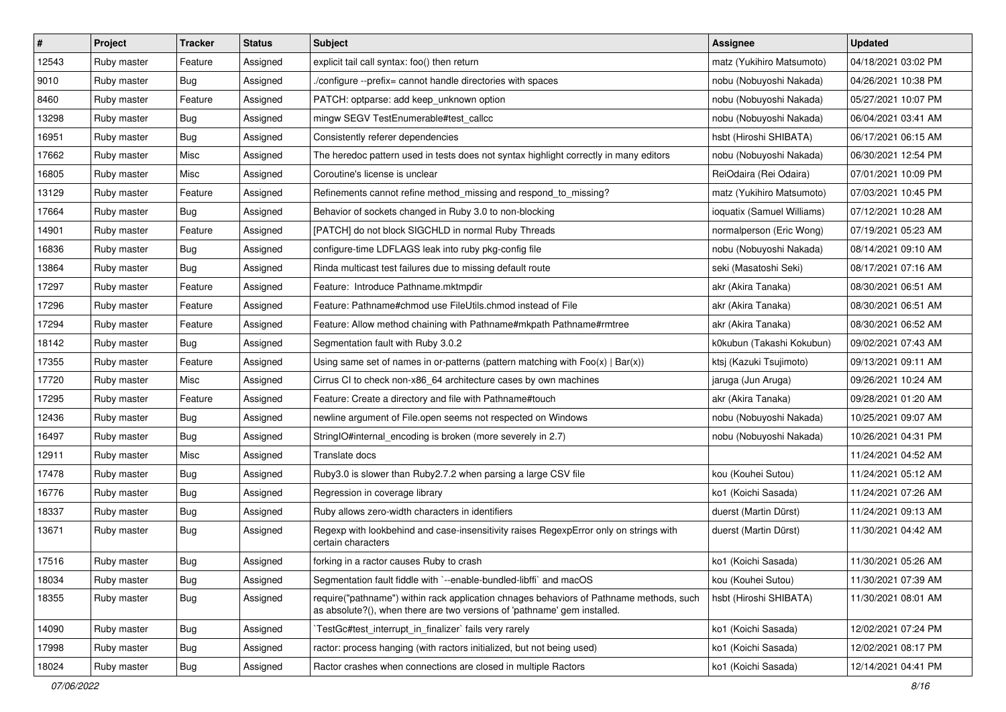| $\vert$ # | Project     | <b>Tracker</b> | <b>Status</b> | Subject                                                                                                                                                             | <b>Assignee</b>            | <b>Updated</b>      |
|-----------|-------------|----------------|---------------|---------------------------------------------------------------------------------------------------------------------------------------------------------------------|----------------------------|---------------------|
| 12543     | Ruby master | Feature        | Assigned      | explicit tail call syntax: foo() then return                                                                                                                        | matz (Yukihiro Matsumoto)  | 04/18/2021 03:02 PM |
| 9010      | Ruby master | Bug            | Assigned      | /configure --prefix= cannot handle directories with spaces                                                                                                          | nobu (Nobuyoshi Nakada)    | 04/26/2021 10:38 PM |
| 8460      | Ruby master | Feature        | Assigned      | PATCH: optparse: add keep_unknown option                                                                                                                            | nobu (Nobuyoshi Nakada)    | 05/27/2021 10:07 PM |
| 13298     | Ruby master | Bug            | Assigned      | mingw SEGV TestEnumerable#test_callcc                                                                                                                               | nobu (Nobuyoshi Nakada)    | 06/04/2021 03:41 AM |
| 16951     | Ruby master | Bug            | Assigned      | Consistently referer dependencies                                                                                                                                   | hsbt (Hiroshi SHIBATA)     | 06/17/2021 06:15 AM |
| 17662     | Ruby master | Misc           | Assigned      | The heredoc pattern used in tests does not syntax highlight correctly in many editors                                                                               | nobu (Nobuyoshi Nakada)    | 06/30/2021 12:54 PM |
| 16805     | Ruby master | Misc           | Assigned      | Coroutine's license is unclear                                                                                                                                      | ReiOdaira (Rei Odaira)     | 07/01/2021 10:09 PM |
| 13129     | Ruby master | Feature        | Assigned      | Refinements cannot refine method missing and respond to missing?                                                                                                    | matz (Yukihiro Matsumoto)  | 07/03/2021 10:45 PM |
| 17664     | Ruby master | Bug            | Assigned      | Behavior of sockets changed in Ruby 3.0 to non-blocking                                                                                                             | ioquatix (Samuel Williams) | 07/12/2021 10:28 AM |
| 14901     | Ruby master | Feature        | Assigned      | [PATCH] do not block SIGCHLD in normal Ruby Threads                                                                                                                 | normalperson (Eric Wong)   | 07/19/2021 05:23 AM |
| 16836     | Ruby master | Bug            | Assigned      | configure-time LDFLAGS leak into ruby pkg-config file                                                                                                               | nobu (Nobuyoshi Nakada)    | 08/14/2021 09:10 AM |
| 13864     | Ruby master | Bug            | Assigned      | Rinda multicast test failures due to missing default route                                                                                                          | seki (Masatoshi Seki)      | 08/17/2021 07:16 AM |
| 17297     | Ruby master | Feature        | Assigned      | Feature: Introduce Pathname.mktmpdir                                                                                                                                | akr (Akira Tanaka)         | 08/30/2021 06:51 AM |
| 17296     | Ruby master | Feature        | Assigned      | Feature: Pathname#chmod use FileUtils.chmod instead of File                                                                                                         | akr (Akira Tanaka)         | 08/30/2021 06:51 AM |
| 17294     | Ruby master | Feature        | Assigned      | Feature: Allow method chaining with Pathname#mkpath Pathname#rmtree                                                                                                 | akr (Akira Tanaka)         | 08/30/2021 06:52 AM |
| 18142     | Ruby master | Bug            | Assigned      | Segmentation fault with Ruby 3.0.2                                                                                                                                  | k0kubun (Takashi Kokubun)  | 09/02/2021 07:43 AM |
| 17355     | Ruby master | Feature        | Assigned      | Using same set of names in or-patterns (pattern matching with $Foo(x)   Bar(x)$ )                                                                                   | ktsj (Kazuki Tsujimoto)    | 09/13/2021 09:11 AM |
| 17720     | Ruby master | Misc           | Assigned      | Cirrus CI to check non-x86_64 architecture cases by own machines                                                                                                    | jaruga (Jun Aruga)         | 09/26/2021 10:24 AM |
| 17295     | Ruby master | Feature        | Assigned      | Feature: Create a directory and file with Pathname#touch                                                                                                            | akr (Akira Tanaka)         | 09/28/2021 01:20 AM |
| 12436     | Ruby master | Bug            | Assigned      | newline argument of File.open seems not respected on Windows                                                                                                        | nobu (Nobuyoshi Nakada)    | 10/25/2021 09:07 AM |
| 16497     | Ruby master | <b>Bug</b>     | Assigned      | StringIO#internal_encoding is broken (more severely in 2.7)                                                                                                         | nobu (Nobuyoshi Nakada)    | 10/26/2021 04:31 PM |
| 12911     | Ruby master | Misc           | Assigned      | Translate docs                                                                                                                                                      |                            | 11/24/2021 04:52 AM |
| 17478     | Ruby master | <b>Bug</b>     | Assigned      | Ruby3.0 is slower than Ruby2.7.2 when parsing a large CSV file                                                                                                      | kou (Kouhei Sutou)         | 11/24/2021 05:12 AM |
| 16776     | Ruby master | <b>Bug</b>     | Assigned      | Regression in coverage library                                                                                                                                      | ko1 (Koichi Sasada)        | 11/24/2021 07:26 AM |
| 18337     | Ruby master | Bug            | Assigned      | Ruby allows zero-width characters in identifiers                                                                                                                    | duerst (Martin Dürst)      | 11/24/2021 09:13 AM |
| 13671     | Ruby master | Bug            | Assigned      | Regexp with lookbehind and case-insensitivity raises RegexpError only on strings with<br>certain characters                                                         | duerst (Martin Dürst)      | 11/30/2021 04:42 AM |
| 17516     | Ruby master | Bug            | Assigned      | forking in a ractor causes Ruby to crash                                                                                                                            | ko1 (Koichi Sasada)        | 11/30/2021 05:26 AM |
| 18034     | Ruby master | <b>Bug</b>     | Assigned      | Segmentation fault fiddle with `--enable-bundled-libffi` and macOS                                                                                                  | kou (Kouhei Sutou)         | 11/30/2021 07:39 AM |
| 18355     | Ruby master | <b>Bug</b>     | Assigned      | require("pathname") within rack application chnages behaviors of Pathname methods, such<br>as absolute?(), when there are two versions of 'pathname' gem installed. | hsbt (Hiroshi SHIBATA)     | 11/30/2021 08:01 AM |
| 14090     | Ruby master | Bug            | Assigned      | TestGc#test interrupt in finalizer` fails very rarely                                                                                                               | ko1 (Koichi Sasada)        | 12/02/2021 07:24 PM |
| 17998     | Ruby master | <b>Bug</b>     | Assigned      | ractor: process hanging (with ractors initialized, but not being used)                                                                                              | ko1 (Koichi Sasada)        | 12/02/2021 08:17 PM |
| 18024     | Ruby master | <b>Bug</b>     | Assigned      | Ractor crashes when connections are closed in multiple Ractors                                                                                                      | ko1 (Koichi Sasada)        | 12/14/2021 04:41 PM |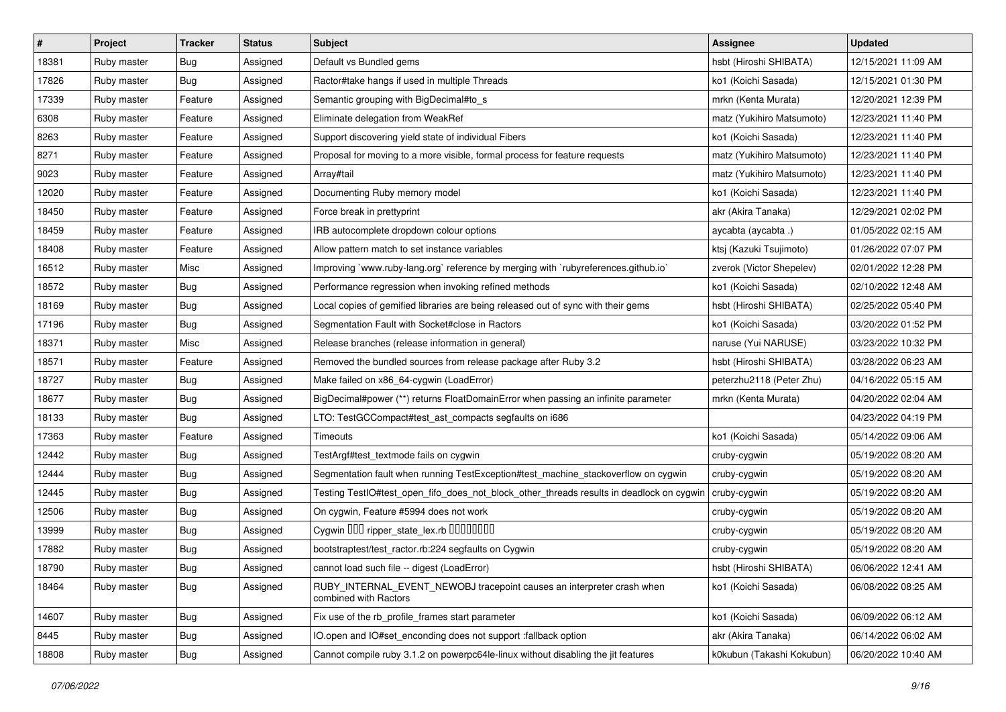| $\vert$ # | Project     | <b>Tracker</b> | <b>Status</b> | <b>Subject</b>                                                                                  | Assignee                  | <b>Updated</b>      |
|-----------|-------------|----------------|---------------|-------------------------------------------------------------------------------------------------|---------------------------|---------------------|
| 18381     | Ruby master | Bug            | Assigned      | Default vs Bundled gems                                                                         | hsbt (Hiroshi SHIBATA)    | 12/15/2021 11:09 AM |
| 17826     | Ruby master | Bug            | Assigned      | Ractor#take hangs if used in multiple Threads                                                   | ko1 (Koichi Sasada)       | 12/15/2021 01:30 PM |
| 17339     | Ruby master | Feature        | Assigned      | Semantic grouping with BigDecimal#to_s                                                          | mrkn (Kenta Murata)       | 12/20/2021 12:39 PM |
| 6308      | Ruby master | Feature        | Assigned      | Eliminate delegation from WeakRef                                                               | matz (Yukihiro Matsumoto) | 12/23/2021 11:40 PM |
| 8263      | Ruby master | Feature        | Assigned      | Support discovering yield state of individual Fibers                                            | ko1 (Koichi Sasada)       | 12/23/2021 11:40 PM |
| 8271      | Ruby master | Feature        | Assigned      | Proposal for moving to a more visible, formal process for feature requests                      | matz (Yukihiro Matsumoto) | 12/23/2021 11:40 PM |
| 9023      | Ruby master | Feature        | Assigned      | Array#tail                                                                                      | matz (Yukihiro Matsumoto) | 12/23/2021 11:40 PM |
| 12020     | Ruby master | Feature        | Assigned      | Documenting Ruby memory model                                                                   | ko1 (Koichi Sasada)       | 12/23/2021 11:40 PM |
| 18450     | Ruby master | Feature        | Assigned      | Force break in prettyprint                                                                      | akr (Akira Tanaka)        | 12/29/2021 02:02 PM |
| 18459     | Ruby master | Feature        | Assigned      | IRB autocomplete dropdown colour options                                                        | aycabta (aycabta.)        | 01/05/2022 02:15 AM |
| 18408     | Ruby master | Feature        | Assigned      | Allow pattern match to set instance variables                                                   | ktsj (Kazuki Tsujimoto)   | 01/26/2022 07:07 PM |
| 16512     | Ruby master | Misc           | Assigned      | Improving `www.ruby-lang.org` reference by merging with `rubyreferences.github.io`              | zverok (Victor Shepelev)  | 02/01/2022 12:28 PM |
| 18572     | Ruby master | Bug            | Assigned      | Performance regression when invoking refined methods                                            | ko1 (Koichi Sasada)       | 02/10/2022 12:48 AM |
| 18169     | Ruby master | <b>Bug</b>     | Assigned      | Local copies of gemified libraries are being released out of sync with their gems               | hsbt (Hiroshi SHIBATA)    | 02/25/2022 05:40 PM |
| 17196     | Ruby master | <b>Bug</b>     | Assigned      | Segmentation Fault with Socket#close in Ractors                                                 | ko1 (Koichi Sasada)       | 03/20/2022 01:52 PM |
| 18371     | Ruby master | Misc           | Assigned      | Release branches (release information in general)                                               | naruse (Yui NARUSE)       | 03/23/2022 10:32 PM |
| 18571     | Ruby master | Feature        | Assigned      | Removed the bundled sources from release package after Ruby 3.2                                 | hsbt (Hiroshi SHIBATA)    | 03/28/2022 06:23 AM |
| 18727     | Ruby master | Bug            | Assigned      | Make failed on x86_64-cygwin (LoadError)                                                        | peterzhu2118 (Peter Zhu)  | 04/16/2022 05:15 AM |
| 18677     | Ruby master | Bug            | Assigned      | BigDecimal#power (**) returns FloatDomainError when passing an infinite parameter               | mrkn (Kenta Murata)       | 04/20/2022 02:04 AM |
| 18133     | Ruby master | Bug            | Assigned      | LTO: TestGCCompact#test_ast_compacts segfaults on i686                                          |                           | 04/23/2022 04:19 PM |
| 17363     | Ruby master | Feature        | Assigned      | Timeouts                                                                                        | ko1 (Koichi Sasada)       | 05/14/2022 09:06 AM |
| 12442     | Ruby master | Bug            | Assigned      | TestArgf#test_textmode fails on cygwin                                                          | cruby-cygwin              | 05/19/2022 08:20 AM |
| 12444     | Ruby master | Bug            | Assigned      | Segmentation fault when running TestException#test_machine_stackoverflow on cygwin              | cruby-cygwin              | 05/19/2022 08:20 AM |
| 12445     | Ruby master | Bug            | Assigned      | Testing TestlO#test_open_fifo_does_not_block_other_threads results in deadlock on cygwin        | cruby-cygwin              | 05/19/2022 08:20 AM |
| 12506     | Ruby master | Bug            | Assigned      | On cygwin, Feature #5994 does not work                                                          | cruby-cygwin              | 05/19/2022 08:20 AM |
| 13999     | Ruby master | Bug            | Assigned      | Cygwin 000 ripper_state_lex.rb 0000000                                                          | cruby-cygwin              | 05/19/2022 08:20 AM |
| 17882     | Ruby master | Bug            | Assigned      | bootstraptest/test_ractor.rb:224 segfaults on Cygwin                                            | cruby-cygwin              | 05/19/2022 08:20 AM |
| 18790     | Ruby master | <b>Bug</b>     | Assigned      | cannot load such file -- digest (LoadError)                                                     | hsbt (Hiroshi SHIBATA)    | 06/06/2022 12:41 AM |
| 18464     | Ruby master | Bug            | Assigned      | RUBY_INTERNAL_EVENT_NEWOBJ tracepoint causes an interpreter crash when<br>combined with Ractors | ko1 (Koichi Sasada)       | 06/08/2022 08:25 AM |
| 14607     | Ruby master | <b>Bug</b>     | Assigned      | Fix use of the rb_profile_frames start parameter                                                | ko1 (Koichi Sasada)       | 06/09/2022 06:12 AM |
| 8445      | Ruby master | Bug            | Assigned      | IO.open and IO#set enconding does not support :fallback option                                  | akr (Akira Tanaka)        | 06/14/2022 06:02 AM |
| 18808     | Ruby master | <b>Bug</b>     | Assigned      | Cannot compile ruby 3.1.2 on powerpc64le-linux without disabling the jit features               | k0kubun (Takashi Kokubun) | 06/20/2022 10:40 AM |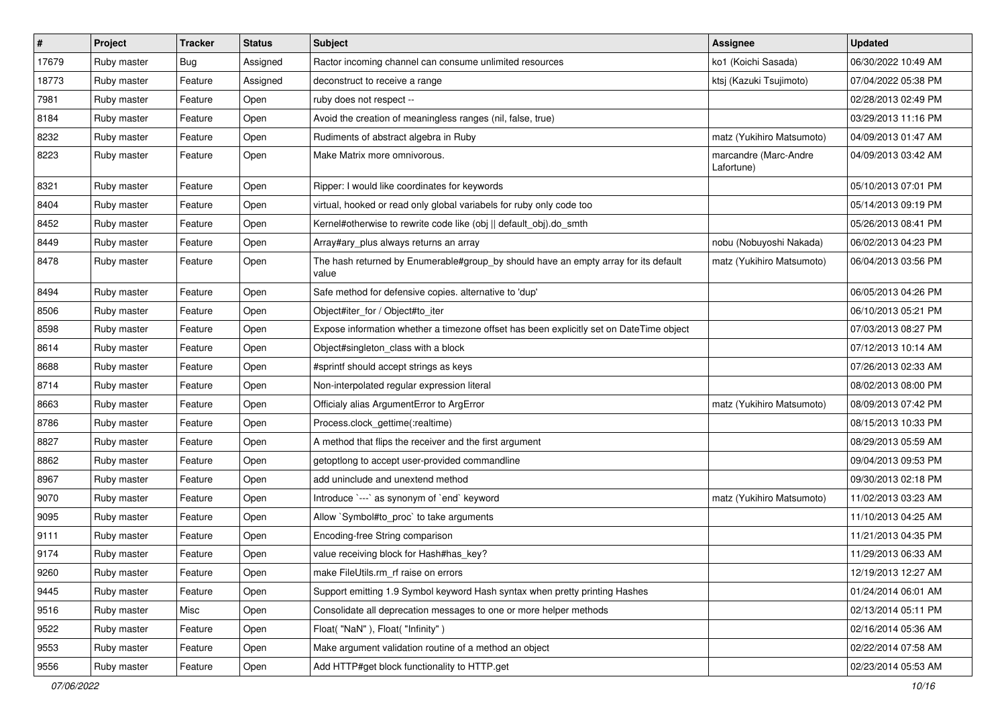| $\vert$ # | Project     | <b>Tracker</b> | <b>Status</b> | <b>Subject</b>                                                                               | <b>Assignee</b>                     | <b>Updated</b>      |
|-----------|-------------|----------------|---------------|----------------------------------------------------------------------------------------------|-------------------------------------|---------------------|
| 17679     | Ruby master | <b>Bug</b>     | Assigned      | Ractor incoming channel can consume unlimited resources                                      | ko1 (Koichi Sasada)                 | 06/30/2022 10:49 AM |
| 18773     | Ruby master | Feature        | Assigned      | deconstruct to receive a range                                                               | ktsj (Kazuki Tsujimoto)             | 07/04/2022 05:38 PM |
| 7981      | Ruby master | Feature        | Open          | ruby does not respect --                                                                     |                                     | 02/28/2013 02:49 PM |
| 8184      | Ruby master | Feature        | Open          | Avoid the creation of meaningless ranges (nil, false, true)                                  |                                     | 03/29/2013 11:16 PM |
| 8232      | Ruby master | Feature        | Open          | Rudiments of abstract algebra in Ruby                                                        | matz (Yukihiro Matsumoto)           | 04/09/2013 01:47 AM |
| 8223      | Ruby master | Feature        | Open          | Make Matrix more omnivorous.                                                                 | marcandre (Marc-Andre<br>Lafortune) | 04/09/2013 03:42 AM |
| 8321      | Ruby master | Feature        | Open          | Ripper: I would like coordinates for keywords                                                |                                     | 05/10/2013 07:01 PM |
| 8404      | Ruby master | Feature        | Open          | virtual, hooked or read only global variabels for ruby only code too                         |                                     | 05/14/2013 09:19 PM |
| 8452      | Ruby master | Feature        | Open          | Kernel#otherwise to rewrite code like (obj    default_obj).do_smth                           |                                     | 05/26/2013 08:41 PM |
| 8449      | Ruby master | Feature        | Open          | Array#ary_plus always returns an array                                                       | nobu (Nobuyoshi Nakada)             | 06/02/2013 04:23 PM |
| 8478      | Ruby master | Feature        | Open          | The hash returned by Enumerable#group_by should have an empty array for its default<br>value | matz (Yukihiro Matsumoto)           | 06/04/2013 03:56 PM |
| 8494      | Ruby master | Feature        | Open          | Safe method for defensive copies. alternative to 'dup'                                       |                                     | 06/05/2013 04:26 PM |
| 8506      | Ruby master | Feature        | Open          | Object#iter_for / Object#to_iter                                                             |                                     | 06/10/2013 05:21 PM |
| 8598      | Ruby master | Feature        | Open          | Expose information whether a timezone offset has been explicitly set on DateTime object      |                                     | 07/03/2013 08:27 PM |
| 8614      | Ruby master | Feature        | Open          | Object#singleton_class with a block                                                          |                                     | 07/12/2013 10:14 AM |
| 8688      | Ruby master | Feature        | Open          | #sprintf should accept strings as keys                                                       |                                     | 07/26/2013 02:33 AM |
| 8714      | Ruby master | Feature        | Open          | Non-interpolated regular expression literal                                                  |                                     | 08/02/2013 08:00 PM |
| 8663      | Ruby master | Feature        | Open          | Officialy alias ArgumentError to ArgError                                                    | matz (Yukihiro Matsumoto)           | 08/09/2013 07:42 PM |
| 8786      | Ruby master | Feature        | Open          | Process.clock_gettime(:realtime)                                                             |                                     | 08/15/2013 10:33 PM |
| 8827      | Ruby master | Feature        | Open          | A method that flips the receiver and the first argument                                      |                                     | 08/29/2013 05:59 AM |
| 8862      | Ruby master | Feature        | Open          | getoptlong to accept user-provided commandline                                               |                                     | 09/04/2013 09:53 PM |
| 8967      | Ruby master | Feature        | Open          | add uninclude and unextend method                                                            |                                     | 09/30/2013 02:18 PM |
| 9070      | Ruby master | Feature        | Open          | Introduce `---` as synonym of `end` keyword                                                  | matz (Yukihiro Matsumoto)           | 11/02/2013 03:23 AM |
| 9095      | Ruby master | Feature        | Open          | Allow `Symbol#to_proc` to take arguments                                                     |                                     | 11/10/2013 04:25 AM |
| 9111      | Ruby master | Feature        | Open          | Encoding-free String comparison                                                              |                                     | 11/21/2013 04:35 PM |
| 9174      | Ruby master | Feature        | Open          | value receiving block for Hash#has_key?                                                      |                                     | 11/29/2013 06:33 AM |
| 9260      | Ruby master | Feature        | Open          | make FileUtils.rm_rf raise on errors                                                         |                                     | 12/19/2013 12:27 AM |
| 9445      | Ruby master | Feature        | Open          | Support emitting 1.9 Symbol keyword Hash syntax when pretty printing Hashes                  |                                     | 01/24/2014 06:01 AM |
| 9516      | Ruby master | Misc           | Open          | Consolidate all deprecation messages to one or more helper methods                           |                                     | 02/13/2014 05:11 PM |
| 9522      | Ruby master | Feature        | Open          | Float("NaN"), Float("Infinity")                                                              |                                     | 02/16/2014 05:36 AM |
| 9553      | Ruby master | Feature        | Open          | Make argument validation routine of a method an object                                       |                                     | 02/22/2014 07:58 AM |
| 9556      | Ruby master | Feature        | Open          | Add HTTP#get block functionality to HTTP.get                                                 |                                     | 02/23/2014 05:53 AM |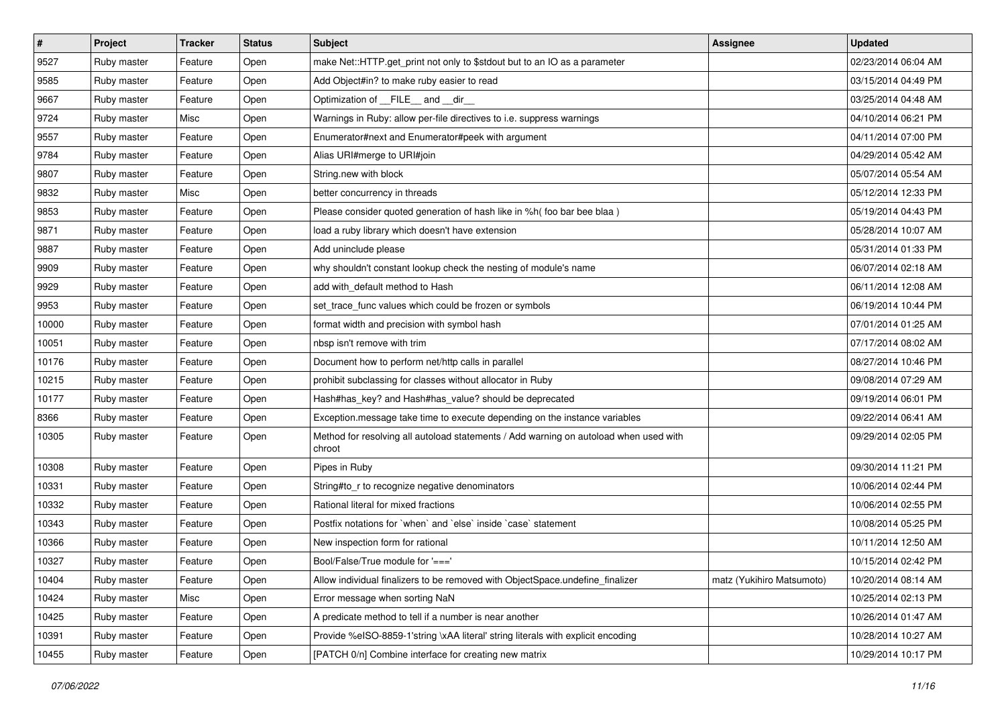| $\sharp$ | Project     | <b>Tracker</b> | <b>Status</b> | Subject                                                                                         | <b>Assignee</b>           | <b>Updated</b>      |
|----------|-------------|----------------|---------------|-------------------------------------------------------------------------------------------------|---------------------------|---------------------|
| 9527     | Ruby master | Feature        | Open          | make Net::HTTP.get_print not only to \$stdout but to an IO as a parameter                       |                           | 02/23/2014 06:04 AM |
| 9585     | Ruby master | Feature        | Open          | Add Object#in? to make ruby easier to read                                                      |                           | 03/15/2014 04:49 PM |
| 9667     | Ruby master | Feature        | Open          | Optimization of FILE_and _dir                                                                   |                           | 03/25/2014 04:48 AM |
| 9724     | Ruby master | Misc           | Open          | Warnings in Ruby: allow per-file directives to i.e. suppress warnings                           |                           | 04/10/2014 06:21 PM |
| 9557     | Ruby master | Feature        | Open          | Enumerator#next and Enumerator#peek with argument                                               |                           | 04/11/2014 07:00 PM |
| 9784     | Ruby master | Feature        | Open          | Alias URI#merge to URI#join                                                                     |                           | 04/29/2014 05:42 AM |
| 9807     | Ruby master | Feature        | Open          | String.new with block                                                                           |                           | 05/07/2014 05:54 AM |
| 9832     | Ruby master | Misc           | Open          | better concurrency in threads                                                                   |                           | 05/12/2014 12:33 PM |
| 9853     | Ruby master | Feature        | Open          | Please consider quoted generation of hash like in %h( foo bar bee blaa)                         |                           | 05/19/2014 04:43 PM |
| 9871     | Ruby master | Feature        | Open          | load a ruby library which doesn't have extension                                                |                           | 05/28/2014 10:07 AM |
| 9887     | Ruby master | Feature        | Open          | Add uninclude please                                                                            |                           | 05/31/2014 01:33 PM |
| 9909     | Ruby master | Feature        | Open          | why shouldn't constant lookup check the nesting of module's name                                |                           | 06/07/2014 02:18 AM |
| 9929     | Ruby master | Feature        | Open          | add with_default method to Hash                                                                 |                           | 06/11/2014 12:08 AM |
| 9953     | Ruby master | Feature        | Open          | set_trace_func values which could be frozen or symbols                                          |                           | 06/19/2014 10:44 PM |
| 10000    | Ruby master | Feature        | Open          | format width and precision with symbol hash                                                     |                           | 07/01/2014 01:25 AM |
| 10051    | Ruby master | Feature        | Open          | nbsp isn't remove with trim                                                                     |                           | 07/17/2014 08:02 AM |
| 10176    | Ruby master | Feature        | Open          | Document how to perform net/http calls in parallel                                              |                           | 08/27/2014 10:46 PM |
| 10215    | Ruby master | Feature        | Open          | prohibit subclassing for classes without allocator in Ruby                                      |                           | 09/08/2014 07:29 AM |
| 10177    | Ruby master | Feature        | Open          | Hash#has_key? and Hash#has_value? should be deprecated                                          |                           | 09/19/2014 06:01 PM |
| 8366     | Ruby master | Feature        | Open          | Exception.message take time to execute depending on the instance variables                      |                           | 09/22/2014 06:41 AM |
| 10305    | Ruby master | Feature        | Open          | Method for resolving all autoload statements / Add warning on autoload when used with<br>chroot |                           | 09/29/2014 02:05 PM |
| 10308    | Ruby master | Feature        | Open          | Pipes in Ruby                                                                                   |                           | 09/30/2014 11:21 PM |
| 10331    | Ruby master | Feature        | Open          | String#to_r to recognize negative denominators                                                  |                           | 10/06/2014 02:44 PM |
| 10332    | Ruby master | Feature        | Open          | Rational literal for mixed fractions                                                            |                           | 10/06/2014 02:55 PM |
| 10343    | Ruby master | Feature        | Open          | Postfix notations for 'when' and 'else' inside 'case' statement                                 |                           | 10/08/2014 05:25 PM |
| 10366    | Ruby master | Feature        | Open          | New inspection form for rational                                                                |                           | 10/11/2014 12:50 AM |
| 10327    | Ruby master | Feature        | Open          | Bool/False/True module for '==='                                                                |                           | 10/15/2014 02:42 PM |
| 10404    | Ruby master | Feature        | Open          | Allow individual finalizers to be removed with ObjectSpace.undefine finalizer                   | matz (Yukihiro Matsumoto) | 10/20/2014 08:14 AM |
| 10424    | Ruby master | Misc           | Open          | Error message when sorting NaN                                                                  |                           | 10/25/2014 02:13 PM |
| 10425    | Ruby master | Feature        | Open          | A predicate method to tell if a number is near another                                          |                           | 10/26/2014 01:47 AM |
| 10391    | Ruby master | Feature        | Open          | Provide %eISO-8859-1'string \xAA literal' string literals with explicit encoding                |                           | 10/28/2014 10:27 AM |
| 10455    | Ruby master | Feature        | Open          | [PATCH 0/n] Combine interface for creating new matrix                                           |                           | 10/29/2014 10:17 PM |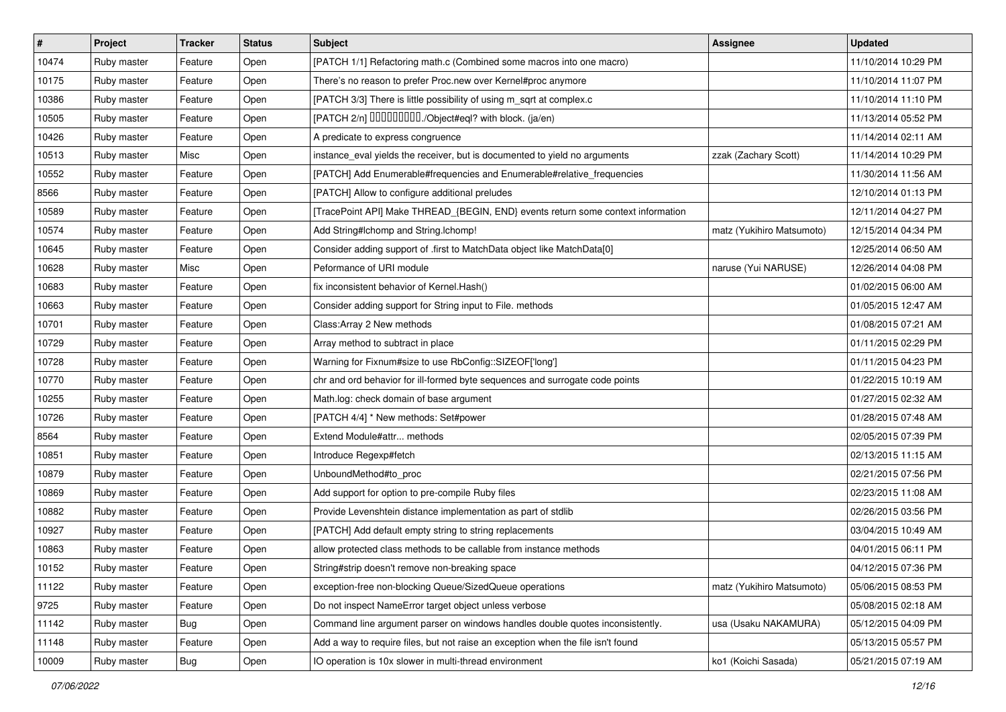| #     | Project     | <b>Tracker</b> | <b>Status</b> | <b>Subject</b>                                                                   | <b>Assignee</b>           | <b>Updated</b>      |
|-------|-------------|----------------|---------------|----------------------------------------------------------------------------------|---------------------------|---------------------|
| 10474 | Ruby master | Feature        | Open          | [PATCH 1/1] Refactoring math.c (Combined some macros into one macro)             |                           | 11/10/2014 10:29 PM |
| 10175 | Ruby master | Feature        | Open          | There's no reason to prefer Proc.new over Kernel#proc anymore                    |                           | 11/10/2014 11:07 PM |
| 10386 | Ruby master | Feature        | Open          | [PATCH 3/3] There is little possibility of using m_sqrt at complex.c             |                           | 11/10/2014 11:10 PM |
| 10505 | Ruby master | Feature        | Open          | [PATCH 2/n] DDDDDDDD./Object#eql? with block. (ja/en)                            |                           | 11/13/2014 05:52 PM |
| 10426 | Ruby master | Feature        | Open          | A predicate to express congruence                                                |                           | 11/14/2014 02:11 AM |
| 10513 | Ruby master | Misc           | Open          | instance_eval yields the receiver, but is documented to yield no arguments       | zzak (Zachary Scott)      | 11/14/2014 10:29 PM |
| 10552 | Ruby master | Feature        | Open          | [PATCH] Add Enumerable#frequencies and Enumerable#relative_frequencies           |                           | 11/30/2014 11:56 AM |
| 8566  | Ruby master | Feature        | Open          | [PATCH] Allow to configure additional preludes                                   |                           | 12/10/2014 01:13 PM |
| 10589 | Ruby master | Feature        | Open          | [TracePoint API] Make THREAD_{BEGIN, END} events return some context information |                           | 12/11/2014 04:27 PM |
| 10574 | Ruby master | Feature        | Open          | Add String#Ichomp and String.Ichomp!                                             | matz (Yukihiro Matsumoto) | 12/15/2014 04:34 PM |
| 10645 | Ruby master | Feature        | Open          | Consider adding support of .first to MatchData object like MatchData[0]          |                           | 12/25/2014 06:50 AM |
| 10628 | Ruby master | Misc           | Open          | Peformance of URI module                                                         | naruse (Yui NARUSE)       | 12/26/2014 04:08 PM |
| 10683 | Ruby master | Feature        | Open          | fix inconsistent behavior of Kernel. Hash()                                      |                           | 01/02/2015 06:00 AM |
| 10663 | Ruby master | Feature        | Open          | Consider adding support for String input to File. methods                        |                           | 01/05/2015 12:47 AM |
| 10701 | Ruby master | Feature        | Open          | Class: Array 2 New methods                                                       |                           | 01/08/2015 07:21 AM |
| 10729 | Ruby master | Feature        | Open          | Array method to subtract in place                                                |                           | 01/11/2015 02:29 PM |
| 10728 | Ruby master | Feature        | Open          | Warning for Fixnum#size to use RbConfig::SIZEOF['long']                          |                           | 01/11/2015 04:23 PM |
| 10770 | Ruby master | Feature        | Open          | chr and ord behavior for ill-formed byte sequences and surrogate code points     |                           | 01/22/2015 10:19 AM |
| 10255 | Ruby master | Feature        | Open          | Math.log: check domain of base argument                                          |                           | 01/27/2015 02:32 AM |
| 10726 | Ruby master | Feature        | Open          | [PATCH 4/4] * New methods: Set#power                                             |                           | 01/28/2015 07:48 AM |
| 8564  | Ruby master | Feature        | Open          | Extend Module#attr methods                                                       |                           | 02/05/2015 07:39 PM |
| 10851 | Ruby master | Feature        | Open          | Introduce Regexp#fetch                                                           |                           | 02/13/2015 11:15 AM |
| 10879 | Ruby master | Feature        | Open          | UnboundMethod#to_proc                                                            |                           | 02/21/2015 07:56 PM |
| 10869 | Ruby master | Feature        | Open          | Add support for option to pre-compile Ruby files                                 |                           | 02/23/2015 11:08 AM |
| 10882 | Ruby master | Feature        | Open          | Provide Levenshtein distance implementation as part of stdlib                    |                           | 02/26/2015 03:56 PM |
| 10927 | Ruby master | Feature        | Open          | [PATCH] Add default empty string to string replacements                          |                           | 03/04/2015 10:49 AM |
| 10863 | Ruby master | Feature        | Open          | allow protected class methods to be callable from instance methods               |                           | 04/01/2015 06:11 PM |
| 10152 | Ruby master | Feature        | Open          | String#strip doesn't remove non-breaking space                                   |                           | 04/12/2015 07:36 PM |
| 11122 | Ruby master | Feature        | Open          | exception-free non-blocking Queue/SizedQueue operations                          | matz (Yukihiro Matsumoto) | 05/06/2015 08:53 PM |
| 9725  | Ruby master | Feature        | Open          | Do not inspect NameError target object unless verbose                            |                           | 05/08/2015 02:18 AM |
| 11142 | Ruby master | <b>Bug</b>     | Open          | Command line argument parser on windows handles double quotes inconsistently.    | usa (Usaku NAKAMURA)      | 05/12/2015 04:09 PM |
| 11148 | Ruby master | Feature        | Open          | Add a way to require files, but not raise an exception when the file isn't found |                           | 05/13/2015 05:57 PM |
| 10009 | Ruby master | Bug            | Open          | IO operation is 10x slower in multi-thread environment                           | ko1 (Koichi Sasada)       | 05/21/2015 07:19 AM |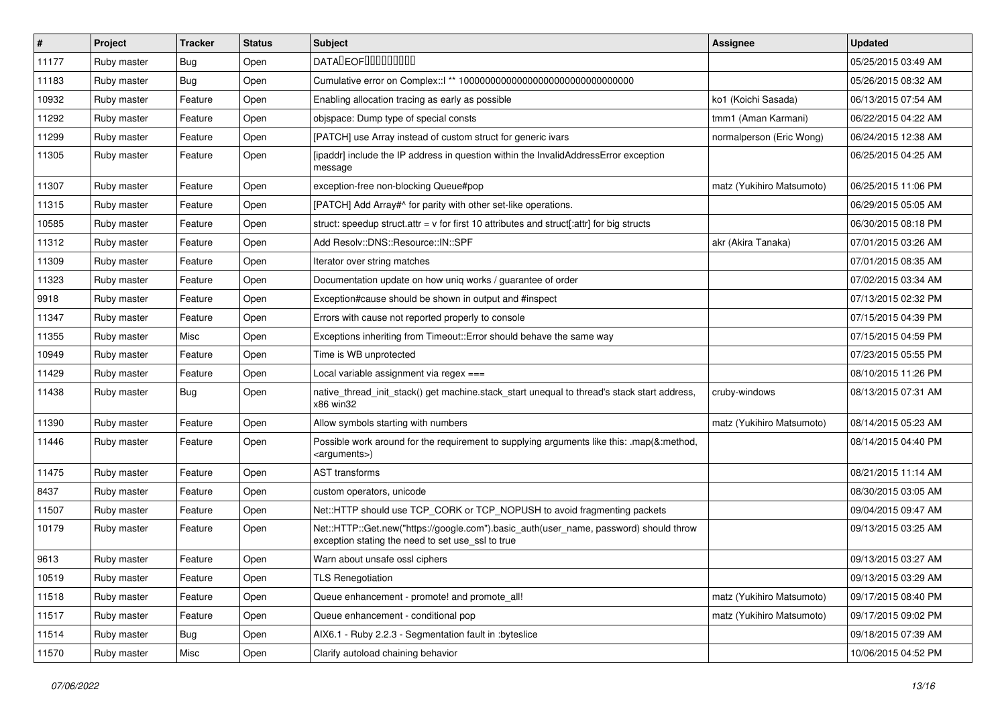| $\vert$ # | Project     | <b>Tracker</b> | <b>Status</b> | <b>Subject</b>                                                                                                                             | <b>Assignee</b>           | <b>Updated</b>      |
|-----------|-------------|----------------|---------------|--------------------------------------------------------------------------------------------------------------------------------------------|---------------------------|---------------------|
| 11177     | Ruby master | Bug            | Open          | <b>DATALEOFILILILILILI</b>                                                                                                                 |                           | 05/25/2015 03:49 AM |
| 11183     | Ruby master | Bug            | Open          |                                                                                                                                            |                           | 05/26/2015 08:32 AM |
| 10932     | Ruby master | Feature        | Open          | Enabling allocation tracing as early as possible                                                                                           | ko1 (Koichi Sasada)       | 06/13/2015 07:54 AM |
| 11292     | Ruby master | Feature        | Open          | objspace: Dump type of special consts                                                                                                      | tmm1 (Aman Karmani)       | 06/22/2015 04:22 AM |
| 11299     | Ruby master | Feature        | Open          | [PATCH] use Array instead of custom struct for generic ivars                                                                               | normalperson (Eric Wong)  | 06/24/2015 12:38 AM |
| 11305     | Ruby master | Feature        | Open          | [ipaddr] include the IP address in question within the InvalidAddressError exception<br>message                                            |                           | 06/25/2015 04:25 AM |
| 11307     | Ruby master | Feature        | Open          | exception-free non-blocking Queue#pop                                                                                                      | matz (Yukihiro Matsumoto) | 06/25/2015 11:06 PM |
| 11315     | Ruby master | Feature        | Open          | [PATCH] Add Array#^ for parity with other set-like operations.                                                                             |                           | 06/29/2015 05:05 AM |
| 10585     | Ruby master | Feature        | Open          | struct: speedup struct.attr = $v$ for first 10 attributes and struct[:attr] for big structs                                                |                           | 06/30/2015 08:18 PM |
| 11312     | Ruby master | Feature        | Open          | Add Resolv::DNS::Resource::IN::SPF                                                                                                         | akr (Akira Tanaka)        | 07/01/2015 03:26 AM |
| 11309     | Ruby master | Feature        | Open          | Iterator over string matches                                                                                                               |                           | 07/01/2015 08:35 AM |
| 11323     | Ruby master | Feature        | Open          | Documentation update on how uniq works / guarantee of order                                                                                |                           | 07/02/2015 03:34 AM |
| 9918      | Ruby master | Feature        | Open          | Exception#cause should be shown in output and #inspect                                                                                     |                           | 07/13/2015 02:32 PM |
| 11347     | Ruby master | Feature        | Open          | Errors with cause not reported properly to console                                                                                         |                           | 07/15/2015 04:39 PM |
| 11355     | Ruby master | Misc           | Open          | Exceptions inheriting from Timeout:: Error should behave the same way                                                                      |                           | 07/15/2015 04:59 PM |
| 10949     | Ruby master | Feature        | Open          | Time is WB unprotected                                                                                                                     |                           | 07/23/2015 05:55 PM |
| 11429     | Ruby master | Feature        | Open          | Local variable assignment via regex ===                                                                                                    |                           | 08/10/2015 11:26 PM |
| 11438     | Ruby master | Bug            | Open          | native thread init stack() get machine.stack start unequal to thread's stack start address,<br>x86 win32                                   | cruby-windows             | 08/13/2015 07:31 AM |
| 11390     | Ruby master | Feature        | Open          | Allow symbols starting with numbers                                                                                                        | matz (Yukihiro Matsumoto) | 08/14/2015 05:23 AM |
| 11446     | Ruby master | Feature        | Open          | Possible work around for the requirement to supplying arguments like this: .map(&:method,<br><arguments>)</arguments>                      |                           | 08/14/2015 04:40 PM |
| 11475     | Ruby master | Feature        | Open          | <b>AST</b> transforms                                                                                                                      |                           | 08/21/2015 11:14 AM |
| 8437      | Ruby master | Feature        | Open          | custom operators, unicode                                                                                                                  |                           | 08/30/2015 03:05 AM |
| 11507     | Ruby master | Feature        | Open          | Net::HTTP should use TCP_CORK or TCP_NOPUSH to avoid fragmenting packets                                                                   |                           | 09/04/2015 09:47 AM |
| 10179     | Ruby master | Feature        | Open          | Net::HTTP::Get.new("https://google.com").basic_auth(user_name, password) should throw<br>exception stating the need to set use_ssl to true |                           | 09/13/2015 03:25 AM |
| 9613      | Ruby master | Feature        | Open          | Warn about unsafe ossl ciphers                                                                                                             |                           | 09/13/2015 03:27 AM |
| 10519     | Ruby master | Feature        | Open          | <b>TLS Renegotiation</b>                                                                                                                   |                           | 09/13/2015 03:29 AM |
| 11518     | Ruby master | Feature        | Open          | Queue enhancement - promote! and promote_all!                                                                                              | matz (Yukihiro Matsumoto) | 09/17/2015 08:40 PM |
| 11517     | Ruby master | Feature        | Open          | Queue enhancement - conditional pop                                                                                                        | matz (Yukihiro Matsumoto) | 09/17/2015 09:02 PM |
| 11514     | Ruby master | Bug            | Open          | AIX6.1 - Ruby 2.2.3 - Segmentation fault in :byteslice                                                                                     |                           | 09/18/2015 07:39 AM |
| 11570     | Ruby master | Misc           | Open          | Clarify autoload chaining behavior                                                                                                         |                           | 10/06/2015 04:52 PM |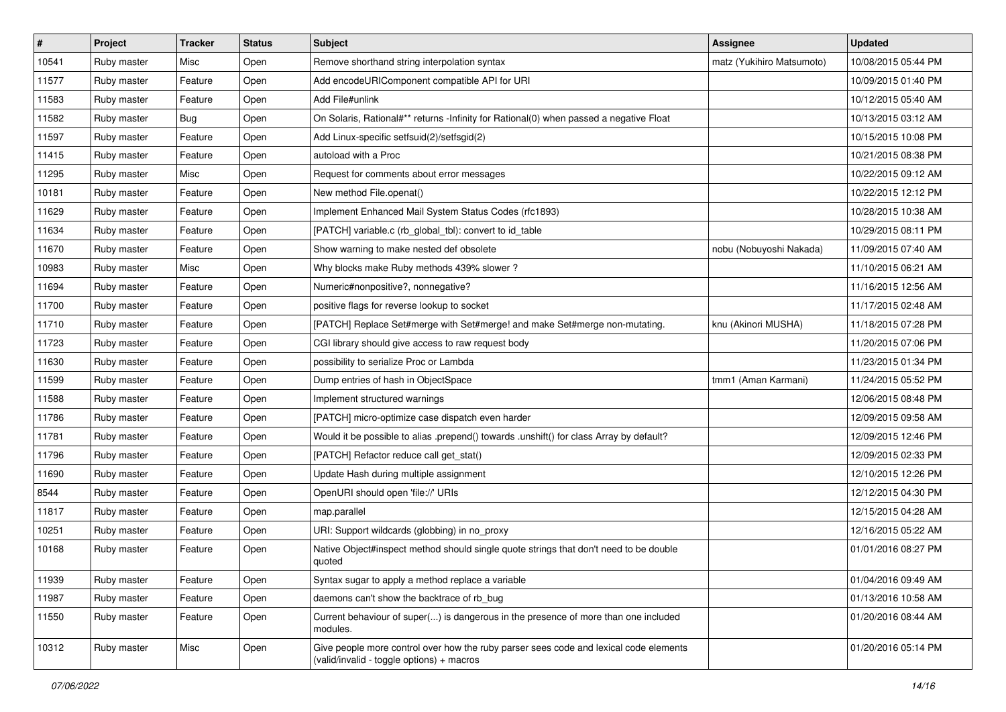| $\vert$ # | Project     | <b>Tracker</b> | <b>Status</b> | <b>Subject</b>                                                                                                                     | Assignee                  | <b>Updated</b>      |
|-----------|-------------|----------------|---------------|------------------------------------------------------------------------------------------------------------------------------------|---------------------------|---------------------|
| 10541     | Ruby master | Misc           | Open          | Remove shorthand string interpolation syntax                                                                                       | matz (Yukihiro Matsumoto) | 10/08/2015 05:44 PM |
| 11577     | Ruby master | Feature        | Open          | Add encodeURIComponent compatible API for URI                                                                                      |                           | 10/09/2015 01:40 PM |
| 11583     | Ruby master | Feature        | Open          | Add File#unlink                                                                                                                    |                           | 10/12/2015 05:40 AM |
| 11582     | Ruby master | Bug            | Open          | On Solaris, Rational#** returns -Infinity for Rational(0) when passed a negative Float                                             |                           | 10/13/2015 03:12 AM |
| 11597     | Ruby master | Feature        | Open          | Add Linux-specific setfsuid(2)/setfsgid(2)                                                                                         |                           | 10/15/2015 10:08 PM |
| 11415     | Ruby master | Feature        | Open          | autoload with a Proc                                                                                                               |                           | 10/21/2015 08:38 PM |
| 11295     | Ruby master | Misc           | Open          | Request for comments about error messages                                                                                          |                           | 10/22/2015 09:12 AM |
| 10181     | Ruby master | Feature        | Open          | New method File.openat()                                                                                                           |                           | 10/22/2015 12:12 PM |
| 11629     | Ruby master | Feature        | Open          | Implement Enhanced Mail System Status Codes (rfc1893)                                                                              |                           | 10/28/2015 10:38 AM |
| 11634     | Ruby master | Feature        | Open          | [PATCH] variable.c (rb_global_tbl): convert to id_table                                                                            |                           | 10/29/2015 08:11 PM |
| 11670     | Ruby master | Feature        | Open          | Show warning to make nested def obsolete                                                                                           | nobu (Nobuyoshi Nakada)   | 11/09/2015 07:40 AM |
| 10983     | Ruby master | Misc           | Open          | Why blocks make Ruby methods 439% slower?                                                                                          |                           | 11/10/2015 06:21 AM |
| 11694     | Ruby master | Feature        | Open          | Numeric#nonpositive?, nonnegative?                                                                                                 |                           | 11/16/2015 12:56 AM |
| 11700     | Ruby master | Feature        | Open          | positive flags for reverse lookup to socket                                                                                        |                           | 11/17/2015 02:48 AM |
| 11710     | Ruby master | Feature        | Open          | [PATCH] Replace Set#merge with Set#merge! and make Set#merge non-mutating.                                                         | knu (Akinori MUSHA)       | 11/18/2015 07:28 PM |
| 11723     | Ruby master | Feature        | Open          | CGI library should give access to raw request body                                                                                 |                           | 11/20/2015 07:06 PM |
| 11630     | Ruby master | Feature        | Open          | possibility to serialize Proc or Lambda                                                                                            |                           | 11/23/2015 01:34 PM |
| 11599     | Ruby master | Feature        | Open          | Dump entries of hash in ObjectSpace                                                                                                | tmm1 (Aman Karmani)       | 11/24/2015 05:52 PM |
| 11588     | Ruby master | Feature        | Open          | Implement structured warnings                                                                                                      |                           | 12/06/2015 08:48 PM |
| 11786     | Ruby master | Feature        | Open          | [PATCH] micro-optimize case dispatch even harder                                                                                   |                           | 12/09/2015 09:58 AM |
| 11781     | Ruby master | Feature        | Open          | Would it be possible to alias .prepend() towards .unshift() for class Array by default?                                            |                           | 12/09/2015 12:46 PM |
| 11796     | Ruby master | Feature        | Open          | [PATCH] Refactor reduce call get_stat()                                                                                            |                           | 12/09/2015 02:33 PM |
| 11690     | Ruby master | Feature        | Open          | Update Hash during multiple assignment                                                                                             |                           | 12/10/2015 12:26 PM |
| 8544      | Ruby master | Feature        | Open          | OpenURI should open 'file://' URIs                                                                                                 |                           | 12/12/2015 04:30 PM |
| 11817     | Ruby master | Feature        | Open          | map.parallel                                                                                                                       |                           | 12/15/2015 04:28 AM |
| 10251     | Ruby master | Feature        | Open          | URI: Support wildcards (globbing) in no_proxy                                                                                      |                           | 12/16/2015 05:22 AM |
| 10168     | Ruby master | Feature        | Open          | Native Object#inspect method should single quote strings that don't need to be double<br>quoted                                    |                           | 01/01/2016 08:27 PM |
| 11939     | Ruby master | Feature        | Open          | Syntax sugar to apply a method replace a variable                                                                                  |                           | 01/04/2016 09:49 AM |
| 11987     | Ruby master | Feature        | Open          | daemons can't show the backtrace of rb bug                                                                                         |                           | 01/13/2016 10:58 AM |
| 11550     | Ruby master | Feature        | Open          | Current behaviour of super() is dangerous in the presence of more than one included<br>modules.                                    |                           | 01/20/2016 08:44 AM |
| 10312     | Ruby master | Misc           | Open          | Give people more control over how the ruby parser sees code and lexical code elements<br>(valid/invalid - toggle options) + macros |                           | 01/20/2016 05:14 PM |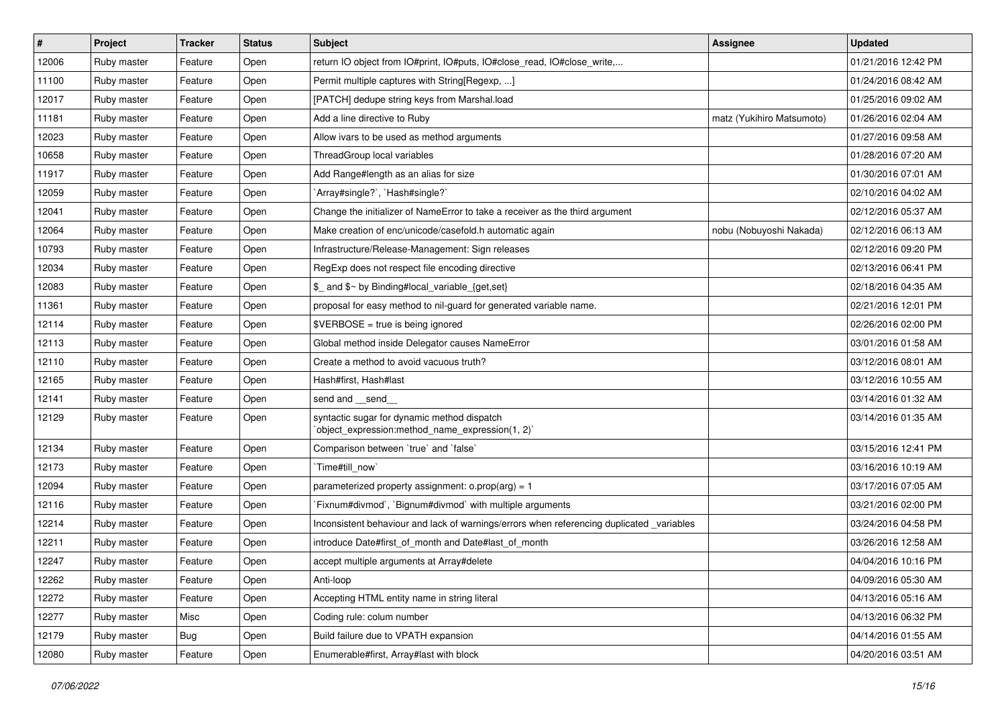| $\sharp$ | Project     | <b>Tracker</b> | <b>Status</b> | Subject                                                                                         | <b>Assignee</b>           | <b>Updated</b>      |
|----------|-------------|----------------|---------------|-------------------------------------------------------------------------------------------------|---------------------------|---------------------|
| 12006    | Ruby master | Feature        | Open          | return IO object from IO#print, IO#puts, IO#close_read, IO#close_write,                         |                           | 01/21/2016 12:42 PM |
| 11100    | Ruby master | Feature        | Open          | Permit multiple captures with String[Regexp, ]                                                  |                           | 01/24/2016 08:42 AM |
| 12017    | Ruby master | Feature        | Open          | [PATCH] dedupe string keys from Marshal.load                                                    |                           | 01/25/2016 09:02 AM |
| 11181    | Ruby master | Feature        | Open          | Add a line directive to Ruby                                                                    | matz (Yukihiro Matsumoto) | 01/26/2016 02:04 AM |
| 12023    | Ruby master | Feature        | Open          | Allow ivars to be used as method arguments                                                      |                           | 01/27/2016 09:58 AM |
| 10658    | Ruby master | Feature        | Open          | ThreadGroup local variables                                                                     |                           | 01/28/2016 07:20 AM |
| 11917    | Ruby master | Feature        | Open          | Add Range#length as an alias for size                                                           |                           | 01/30/2016 07:01 AM |
| 12059    | Ruby master | Feature        | Open          | `Array#single?`, `Hash#single?`                                                                 |                           | 02/10/2016 04:02 AM |
| 12041    | Ruby master | Feature        | Open          | Change the initializer of NameError to take a receiver as the third argument                    |                           | 02/12/2016 05:37 AM |
| 12064    | Ruby master | Feature        | Open          | Make creation of enc/unicode/casefold.h automatic again                                         | nobu (Nobuyoshi Nakada)   | 02/12/2016 06:13 AM |
| 10793    | Ruby master | Feature        | Open          | Infrastructure/Release-Management: Sign releases                                                |                           | 02/12/2016 09:20 PM |
| 12034    | Ruby master | Feature        | Open          | RegExp does not respect file encoding directive                                                 |                           | 02/13/2016 06:41 PM |
| 12083    | Ruby master | Feature        | Open          | \$_ and \$~ by Binding#local_variable_{get,set}                                                 |                           | 02/18/2016 04:35 AM |
| 11361    | Ruby master | Feature        | Open          | proposal for easy method to nil-guard for generated variable name.                              |                           | 02/21/2016 12:01 PM |
| 12114    | Ruby master | Feature        | Open          | $$VERBOSE = true is being ignored$                                                              |                           | 02/26/2016 02:00 PM |
| 12113    | Ruby master | Feature        | Open          | Global method inside Delegator causes NameError                                                 |                           | 03/01/2016 01:58 AM |
| 12110    | Ruby master | Feature        | Open          | Create a method to avoid vacuous truth?                                                         |                           | 03/12/2016 08:01 AM |
| 12165    | Ruby master | Feature        | Open          | Hash#first, Hash#last                                                                           |                           | 03/12/2016 10:55 AM |
| 12141    | Ruby master | Feature        | Open          | send and __send_                                                                                |                           | 03/14/2016 01:32 AM |
| 12129    | Ruby master | Feature        | Open          | syntactic sugar for dynamic method dispatch<br>'object_expression:method_name_expression(1, 2)' |                           | 03/14/2016 01:35 AM |
| 12134    | Ruby master | Feature        | Open          | Comparison between 'true' and 'false'                                                           |                           | 03/15/2016 12:41 PM |
| 12173    | Ruby master | Feature        | Open          | Time#till_now`                                                                                  |                           | 03/16/2016 10:19 AM |
| 12094    | Ruby master | Feature        | Open          | parameterized property assignment: $o.prop(arg) = 1$                                            |                           | 03/17/2016 07:05 AM |
| 12116    | Ruby master | Feature        | Open          | Fixnum#divmod`, `Bignum#divmod` with multiple arguments                                         |                           | 03/21/2016 02:00 PM |
| 12214    | Ruby master | Feature        | Open          | Inconsistent behaviour and lack of warnings/errors when referencing duplicated _variables       |                           | 03/24/2016 04:58 PM |
| 12211    | Ruby master | Feature        | Open          | introduce Date#first of month and Date#last of month                                            |                           | 03/26/2016 12:58 AM |
| 12247    | Ruby master | Feature        | Open          | accept multiple arguments at Array#delete                                                       |                           | 04/04/2016 10:16 PM |
| 12262    | Ruby master | Feature        | Open          | Anti-loop                                                                                       |                           | 04/09/2016 05:30 AM |
| 12272    | Ruby master | Feature        | Open          | Accepting HTML entity name in string literal                                                    |                           | 04/13/2016 05:16 AM |
| 12277    | Ruby master | Misc           | Open          | Coding rule: colum number                                                                       |                           | 04/13/2016 06:32 PM |
| 12179    | Ruby master | <b>Bug</b>     | Open          | Build failure due to VPATH expansion                                                            |                           | 04/14/2016 01:55 AM |
| 12080    | Ruby master | Feature        | Open          | Enumerable#first, Array#last with block                                                         |                           | 04/20/2016 03:51 AM |